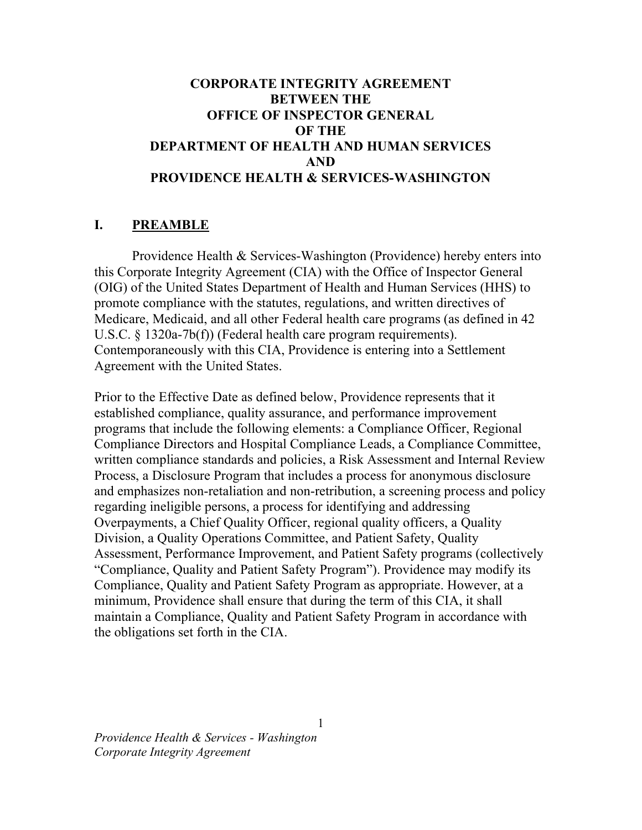# BETWEEN THE OFFICE OF INSPECTOR GENERAL OF THE DEPARTMENT OF HEALTH AND HUMAN SERVICES PROVIDENCE HEALTH & SERVICES-WASHINGTON CORPORATE INTEGRITY AGREEMENT AND

### I. PREAMBLE

 Providence Health & Services-Washington (Providence) hereby enters into this Corporate Integrity Agreement (CIA) with the Office of Inspector General (OIG) of the United States Department of Health and Human Services (HHS) to promote compliance with the statutes, regulations, and written directives of Medicare, Medicaid, and all other Federal health care programs (as defined in 42 U.S.C. § 1320a-7b(f)) (Federal health care program requirements). Contemporaneously with this CIA, Providence is entering into a Settlement Agreement with the United States.

 Prior to the Effective Date as defined below, Providence represents that it established compliance, quality assurance, and performance improvement programs that include the following elements: a Compliance Officer, Regional Compliance Directors and Hospital Compliance Leads, a Compliance Committee, written compliance standards and policies, a Risk Assessment and Internal Review Process, a Disclosure Program that includes a process for anonymous disclosure and emphasizes non-retaliation and non-retribution, a screening process and policy regarding ineligible persons, a process for identifying and addressing Overpayments, a Chief Quality Officer, regional quality officers, a Quality Division, a Quality Operations Committee, and Patient Safety, Quality Assessment, Performance Improvement, and Patient Safety programs (collectively "Compliance, Quality and Patient Safety Program"). Providence may modify its Compliance, Quality and Patient Safety Program as appropriate. However, at a minimum, Providence shall ensure that during the term of this CIA, it shall maintain a Compliance, Quality and Patient Safety Program in accordance with the obligations set forth in the CIA.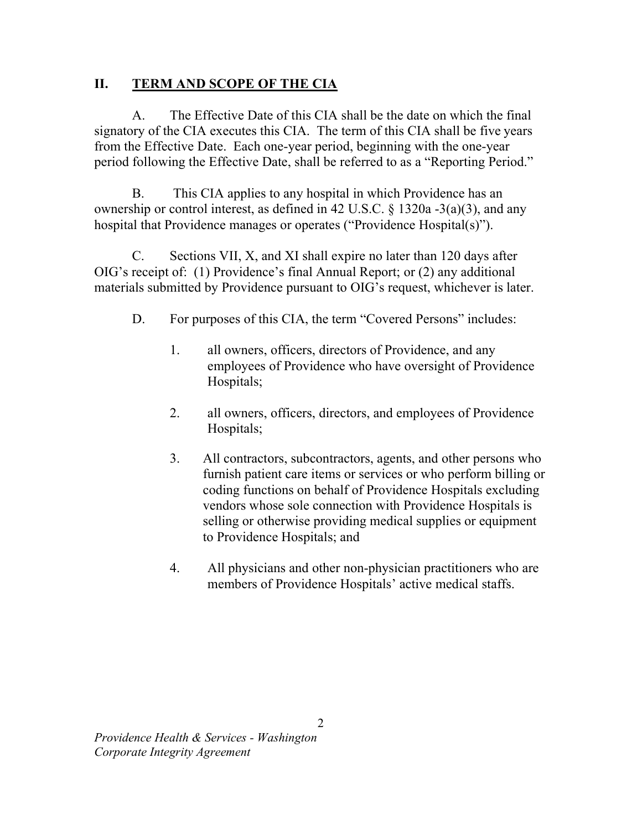#### **II.** TERM AND SCOPE OF THE CIA

 $A<sub>1</sub>$  signatory of the CIA executes this CIA. The term of this CIA shall be five years from the Effective Date. Each one-year period, beginning with the one-year period following the Effective Date, shall be referred to as a "Reporting Period." The Effective Date of this CIA shall be the date on which the final

 $B<sub>r</sub>$  ownership or control interest, as defined in 42 U.S.C. § 1320a -3(a)(3), and any hospital that Providence manages or operates ("Providence Hospital(s)"). This CIA applies to any hospital in which Providence has an

 $C_{\cdot}$  OIG's receipt of: (1) Providence's final Annual Report; or (2) any additional materials submitted by Providence pursuant to OIG's request, whichever is later. Sections VII, X, and XI shall expire no later than 120 days after

- D. For purposes of this CIA, the term "Covered Persons" includes:
	- 1. all owners, officers, directors of Providence, and any employees of Providence who have oversight of Providence Hospitals;
	- 2. all owners, officers, directors, and employees of Providence Hospitals;
	- Hospitals;<br>3. All contractors, subcontractors, agents, and other persons who furnish patient care items or services or who perform billing or coding functions on behalf of Providence Hospitals excluding vendors whose sole connection with Providence Hospitals is selling or otherwise providing medical supplies or equipment to Providence Hospitals; and
	- 4. All physicians and other non-physician practitioners who are members of Providence Hospitals' active medical staffs.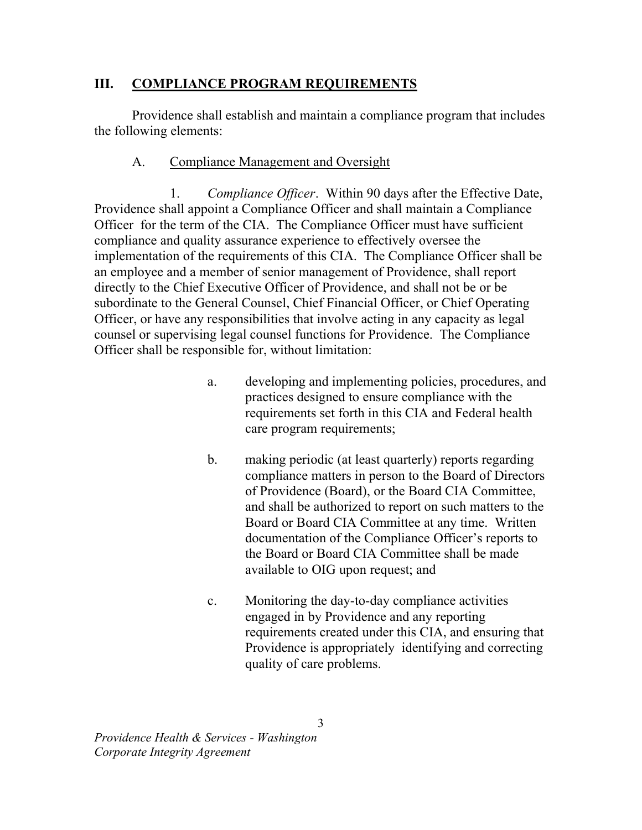# III. COMPLIANCE PROGRAM REQUIREMENTS

 Providence shall establish and maintain a compliance program that includes the following elements:

#### $A<sub>1</sub>$ Compliance Management and Oversight

 $\mathbf{1}$ . Providence shall appoint a Compliance Officer and shall maintain a Compliance Officer for the term of the CIA. The Compliance Officer must have sufficient compliance and quality assurance experience to effectively oversee the implementation of the requirements of this CIA. The Compliance Officer shall be an employee and a member of senior management of Providence, shall report directly to the Chief Executive Officer of Providence, and shall not be or be subordinate to the General Counsel, Chief Financial Officer, or Chief Operating Officer, or have any responsibilities that involve acting in any capacity as legal counsel or supervising legal counsel functions for Providence. The Compliance Officer shall be responsible for, without limitation: Compliance Officer. Within 90 days after the Effective Date,

- a. developing and implementing policies, procedures, and practices designed to ensure compliance with the requirements set forth in this CIA and Federal health care program requirements;
- $\mathbf{b}$ . compliance matters in person to the Board of Directors of Providence (Board), or the Board CIA Committee, and shall be authorized to report on such matters to the Board or Board CIA Committee at any time. Written documentation of the Compliance Officer's reports to the Board or Board CIA Committee shall be made available to OIG upon request; and making periodic (at least quarterly) reports regarding
- c. Monitoring the day-to-day compliance activities engaged in by Providence and any reporting requirements created under this CIA, and ensuring that Providence is appropriately identifying and correcting quality of care problems.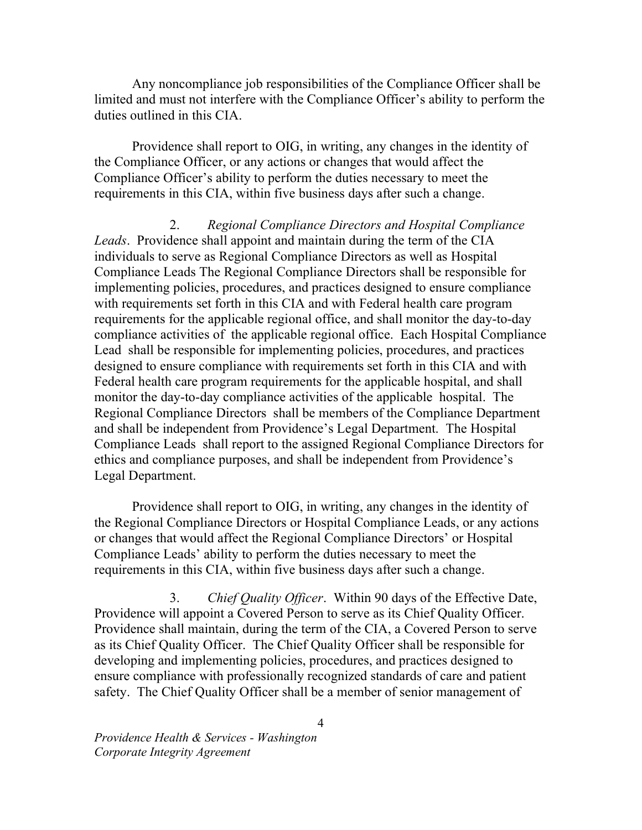Any noncompliance job responsibilities of the Compliance Officer shall be limited and must not interfere with the Compliance Officer's ability to perform the duties outlined in this CIA.

 Providence shall report to OIG, in writing, any changes in the identity of the Compliance Officer, or any actions or changes that would affect the Compliance Officer's ability to perform the duties necessary to meet the requirements in this CIA, within five business days after such a change.

Leads. Providence shall appoint and maintain during the term of the CIA individuals to serve as Regional Compliance Directors as well as Hospital Compliance Leads The Regional Compliance Directors shall be responsible for implementing policies, procedures, and practices designed to ensure compliance with requirements set forth in this CIA and with Federal health care program requirements for the applicable regional office, and shall monitor the day-to-day compliance activities of the applicable regional office. Each Hospital Compliance Lead shall be responsible for implementing policies, procedures, and practices designed to ensure compliance with requirements set forth in this CIA and with Federal health care program requirements for the applicable hospital, and shall monitor the day-to-day compliance activities of the applicable hospital. The Regional Compliance Directors shall be members of the Compliance Department and shall be independent from Providence's Legal Department. The Hospital Compliance Leads shall report to the assigned Regional Compliance Directors for ethics and compliance purposes, and shall be independent from Providence's Legal Department. 2. Regional Compliance Directors and Hospital Compliance

 Providence shall report to OIG, in writing, any changes in the identity of the Regional Compliance Directors or Hospital Compliance Leads, or any actions or changes that would affect the Regional Compliance Directors' or Hospital Compliance Leads' ability to perform the duties necessary to meet the requirements in this CIA, within five business days after such a change.

3. Chief Quality Officer. Within 90 days of the Effective Date, Providence will appoint a Covered Person to serve as its Chief Quality Officer. Providence shall maintain, during the term of the CIA, a Covered Person to serve as its Chief Quality Officer. The Chief Quality Officer shall be responsible for developing and implementing policies, procedures, and practices designed to ensure compliance with professionally recognized standards of care and patient safety. The Chief Quality Officer shall be a member of senior management of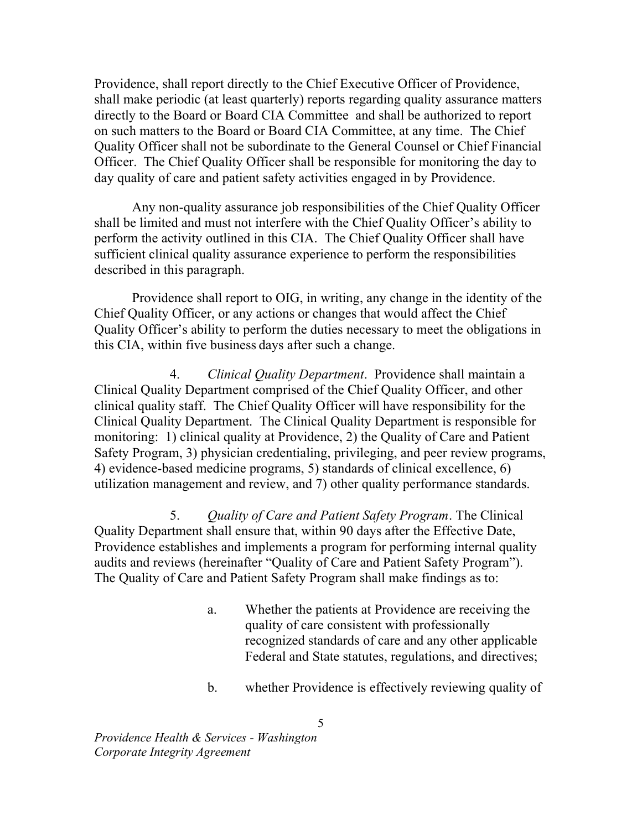Providence, shall report directly to the Chief Executive Officer of Providence, shall make periodic (at least quarterly) reports regarding quality assurance matters directly to the Board or Board CIA Committee and shall be authorized to report on such matters to the Board or Board CIA Committee, at any time. The Chief Quality Officer shall not be subordinate to the General Counsel or Chief Financial Officer. The Chief Quality Officer shall be responsible for monitoring the day to day quality of care and patient safety activities engaged in by Providence.

 Any non-quality assurance job responsibilities of the Chief Quality Officer shall be limited and must not interfere with the Chief Quality Officer's ability to perform the activity outlined in this CIA. The Chief Quality Officer shall have sufficient clinical quality assurance experience to perform the responsibilities described in this paragraph.

 Providence shall report to OIG, in writing, any change in the identity of the Chief Quality Officer, or any actions or changes that would affect the Chief Quality Officer's ability to perform the duties necessary to meet the obligations in this CIA, within five business days after such a change.

4. Clinical Quality Department. Providence shall maintain a Clinical Quality Department comprised of the Chief Quality Officer, and other clinical quality staff. The Chief Quality Officer will have responsibility for the Clinical Quality Department. The Clinical Quality Department is responsible for monitoring: 1) clinical quality at Providence, 2) the Quality of Care and Patient Safety Program, 3) physician credentialing, privileging, and peer review programs, 4) evidence-based medicine programs, 5) standards of clinical excellence, 6) utilization management and review, and 7) other quality performance standards.

5. Quality of Care and Patient Safety Program. The Clinical Quality Department shall ensure that, within 90 days after the Effective Date, Providence establishes and implements a program for performing internal quality audits and reviews (hereinafter "Quality of Care and Patient Safety Program"). The Quality of Care and Patient Safety Program shall make findings as to:

- a. Whether the patients at Providence are receiving the quality of care consistent with professionally recognized standards of care and any other applicable Federal and State statutes, regulations, and directives;
- b. whether Providence is effectively reviewing quality of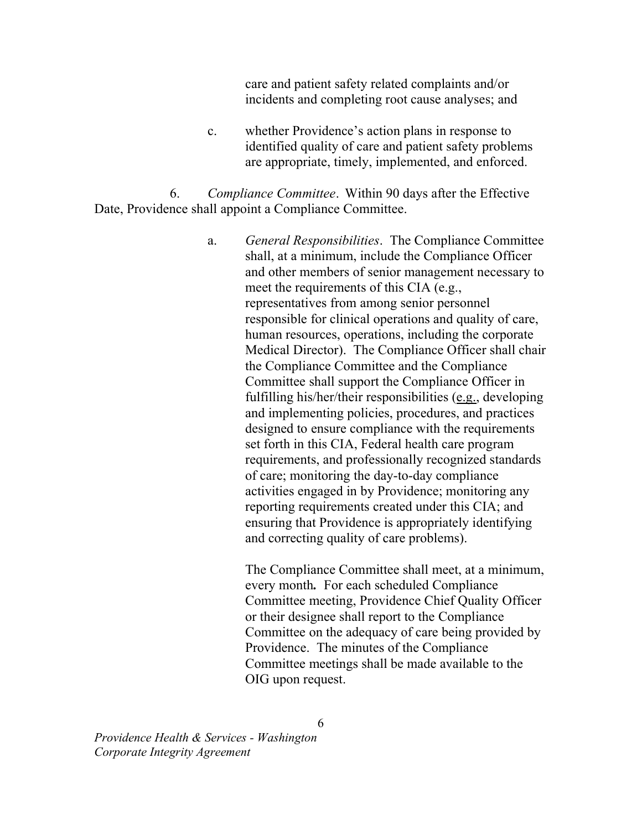care and patient safety related complaints and/or incidents and completing root cause analyses; and

c. whether Providence's action plans in response to identified quality of care and patient safety problems are appropriate, timely, implemented, and enforced.

6. Compliance Committee. Within 90 days after the Effective Date, Providence shall appoint a Compliance Committee.

> a. shall, at a minimum, include the Compliance Officer and other members of senior management necessary to meet the requirements of this CIA (e.g., representatives from among senior personnel responsible for clinical operations and quality of care, human resources, operations, including the corporate Medical Director). The Compliance Officer shall chair the Compliance Committee and the Compliance Committee shall support the Compliance Officer in fulfilling his/her/their responsibilities (e.g., developing and implementing policies, procedures, and practices designed to ensure compliance with the requirements set forth in this CIA, Federal health care program requirements, and professionally recognized standards of care; monitoring the day-to-day compliance activities engaged in by Providence; monitoring any reporting requirements created under this CIA; and ensuring that Providence is appropriately identifying and correcting quality of care problems). General Responsibilities. The Compliance Committee

> > The Compliance Committee shall meet, at a minimum, every month. For each scheduled Compliance Committee meeting, Providence Chief Quality Officer or their designee shall report to the Compliance Committee on the adequacy of care being provided by Providence. The minutes of the Compliance Committee meetings shall be made available to the OIG upon request.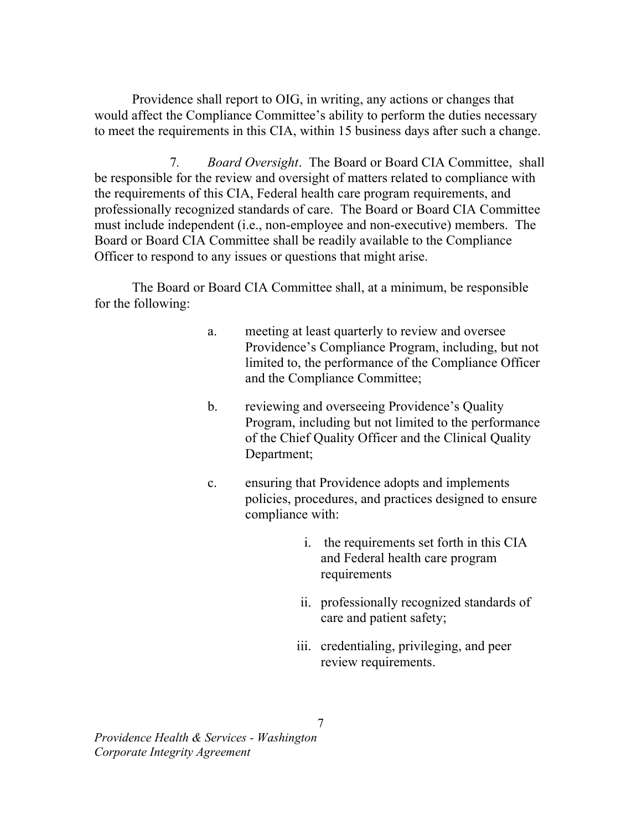Providence shall report to OIG, in writing, any actions or changes that would affect the Compliance Committee's ability to perform the duties necessary to meet the requirements in this CIA, within 15 business days after such a change.

 $7.$  be responsible for the review and oversight of matters related to compliance with the requirements of this CIA, Federal health care program requirements, and professionally recognized standards of care. The Board or Board CIA Committee must include independent (i.e., non-employee and non-executive) members. The Board or Board CIA Committee shall be readily available to the Compliance Officer to respond to any issues or questions that might arise. Board Oversight. The Board or Board CIA Committee, shall

 The Board or Board CIA Committee shall, at a minimum, be responsible for the following:

- a. meeting at least quarterly to review and oversee Providence's Compliance Program, including, but not limited to, the performance of the Compliance Officer and the Compliance Committee;
- b. reviewing and overseeing Providence's Quality Program, including but not limited to the performance of the Chief Quality Officer and the Clinical Quality Department;
- c. ensuring that Providence adopts and implements policies, procedures, and practices designed to ensure compliance with:
	- i. the requirements set forth in this CIA and Federal health care program requirements
	- ii. professionally recognized standards of care and patient safety;
	- iii. credentialing, privileging, and peer review requirements.<br>7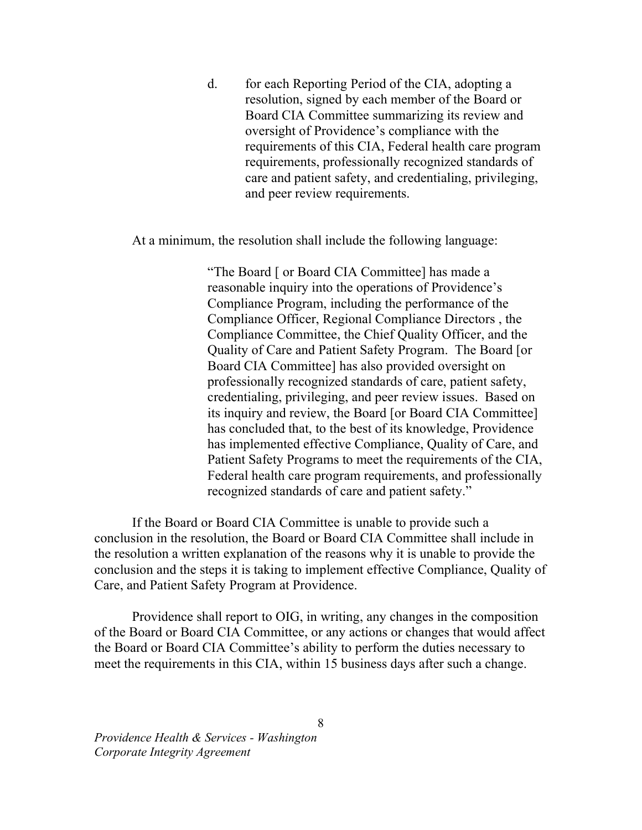d. for each Reporting Period of the CIA, adopting a resolution, signed by each member of the Board or Board CIA Committee summarizing its review and oversight of Providence's compliance with the requirements of this CIA, Federal health care program requirements, professionally recognized standards of care and patient safety, and credentialing, privileging, and peer review requirements.

At a minimum, the resolution shall include the following language:

 "The Board [ or Board CIA Committee] has made a reasonable inquiry into the operations of Providence's Compliance Program, including the performance of the Compliance Officer, Regional Compliance Directors , the Compliance Committee, the Chief Quality Officer, and the Quality of Care and Patient Safety Program. The Board [or Board CIA Committee] has also provided oversight on professionally recognized standards of care, patient safety, credentialing, privileging, and peer review issues. Based on its inquiry and review, the Board [or Board CIA Committee] has concluded that, to the best of its knowledge, Providence has implemented effective Compliance, Quality of Care, and Patient Safety Programs to meet the requirements of the CIA, Federal health care program requirements, and professionally recognized standards of care and patient safety."

 If the Board or Board CIA Committee is unable to provide such a conclusion in the resolution, the Board or Board CIA Committee shall include in the resolution a written explanation of the reasons why it is unable to provide the conclusion and the steps it is taking to implement effective Compliance, Quality of Care, and Patient Safety Program at Providence.

 Providence shall report to OIG, in writing, any changes in the composition of the Board or Board CIA Committee, or any actions or changes that would affect the Board or Board CIA Committee's ability to perform the duties necessary to meet the requirements in this CIA, within 15 business days after such a change.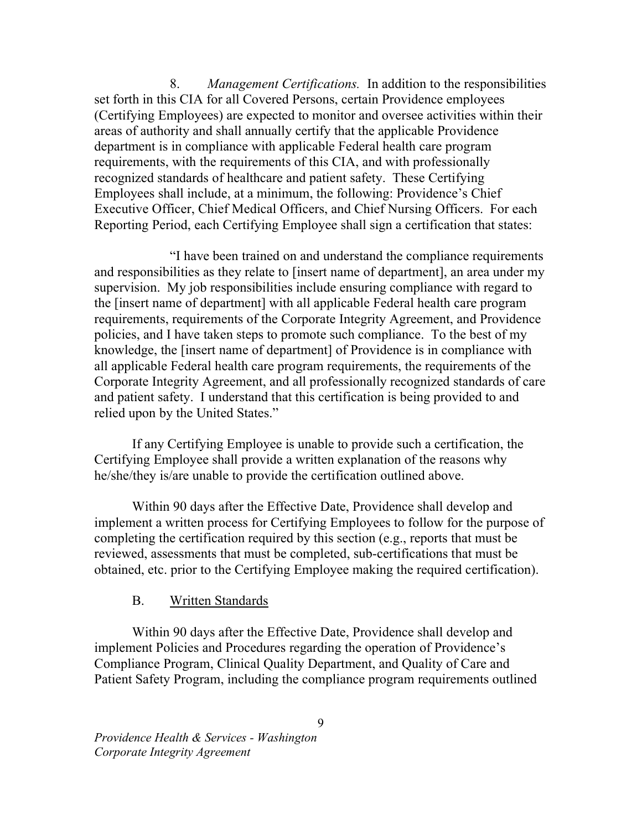8. Management Certifications. In addition to the responsibilities set forth in this CIA for all Covered Persons, certain Providence employees (Certifying Employees) are expected to monitor and oversee activities within their areas of authority and shall annually certify that the applicable Providence department is in compliance with applicable Federal health care program requirements, with the requirements of this CIA, and with professionally recognized standards of healthcare and patient safety. These Certifying Employees shall include, at a minimum, the following: Providence's Chief Executive Officer, Chief Medical Officers, and Chief Nursing Officers. For each Reporting Period, each Certifying Employee shall sign a certification that states:

 "I have been trained on and understand the compliance requirements and responsibilities as they relate to [insert name of department], an area under my supervision. My job responsibilities include ensuring compliance with regard to the [insert name of department] with all applicable Federal health care program requirements, requirements of the Corporate Integrity Agreement, and Providence policies, and I have taken steps to promote such compliance. To the best of my knowledge, the [insert name of department] of Providence is in compliance with all applicable Federal health care program requirements, the requirements of the Corporate Integrity Agreement, and all professionally recognized standards of care and patient safety. I understand that this certification is being provided to and relied upon by the United States."

 If any Certifying Employee is unable to provide such a certification, the Certifying Employee shall provide a written explanation of the reasons why he/she/they is/are unable to provide the certification outlined above.

 Within 90 days after the Effective Date, Providence shall develop and implement a written process for Certifying Employees to follow for the purpose of completing the certification required by this section (e.g., reports that must be reviewed, assessments that must be completed, sub-certifications that must be obtained, etc. prior to the Certifying Employee making the required certification).

#### **B.** Written Standards

 Within 90 days after the Effective Date, Providence shall develop and implement Policies and Procedures regarding the operation of Providence's Compliance Program, Clinical Quality Department, and Quality of Care and Patient Safety Program, including the compliance program requirements outlined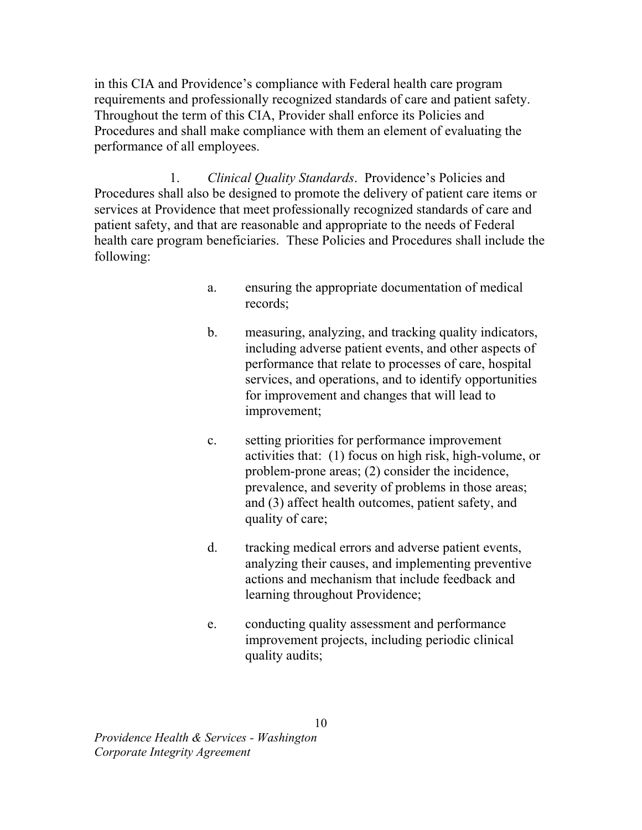in this CIA and Providence's compliance with Federal health care program requirements and professionally recognized standards of care and patient safety. Throughout the term of this CIA, Provider shall enforce its Policies and Procedures and shall make compliance with them an element of evaluating the performance of all employees.

1. Clinical Quality Standards. Providence's Policies and Procedures shall also be designed to promote the delivery of patient care items or services at Providence that meet professionally recognized standards of care and patient safety, and that are reasonable and appropriate to the needs of Federal health care program beneficiaries. These Policies and Procedures shall include the following:

- a. ensuring the appropriate documentation of medical records;
- b. measuring, analyzing, and tracking quality indicators, including adverse patient events, and other aspects of performance that relate to processes of care, hospital services, and operations, and to identify opportunities for improvement and changes that will lead to improvement;
- c. setting priorities for performance improvement activities that: (1) focus on high risk, high-volume, or problem-prone areas; (2) consider the incidence, prevalence, and severity of problems in those areas; and (3) affect health outcomes, patient safety, and quality of care;
- d. tracking medical errors and adverse patient events, analyzing their causes, and implementing preventive actions and mechanism that include feedback and learning throughout Providence;
- e. conducting quality assessment and performance improvement projects, including periodic clinical quality audits;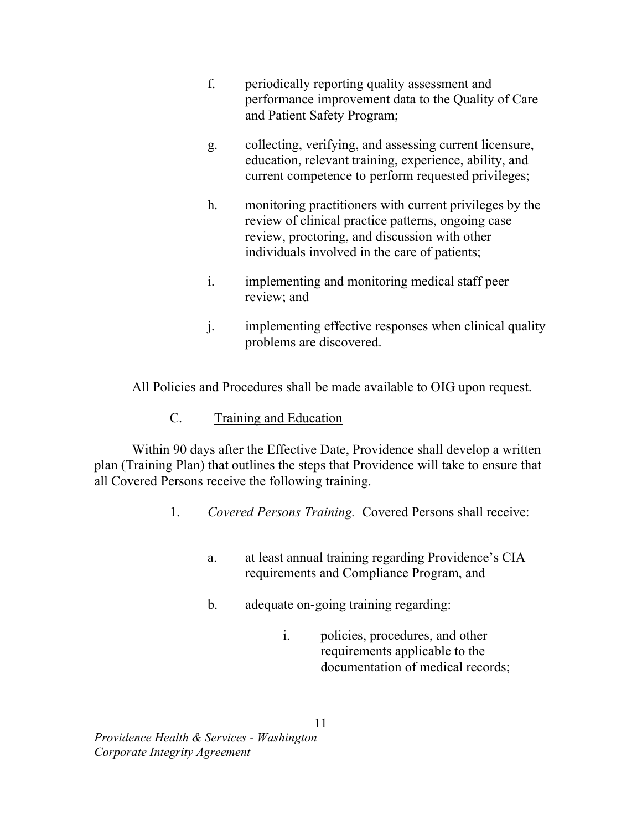- f. periodically reporting quality assessment and performance improvement data to the Quality of Care and Patient Safety Program;
- g. collecting, verifying, and assessing current licensure, education, relevant training, experience, ability, and current competence to perform requested privileges;
- h. monitoring practitioners with current privileges by the review of clinical practice patterns, ongoing case review, proctoring, and discussion with other individuals involved in the care of patients;
- i. implementing and monitoring medical staff peer review; and
- j. implementing effective responses when clinical quality problems are discovered.

All Policies and Procedures shall be made available to OIG upon request.

 $C_{\cdot}$ Training and Education

 Within 90 days after the Effective Date, Providence shall develop a written plan (Training Plan) that outlines the steps that Providence will take to ensure that all Covered Persons receive the following training.

- 1. Covered Persons Training. Covered Persons shall receive:
	- a. requirements and Compliance Program, and at least annual training regarding Providence's CIA
	- $<sub>b</sub>$ .</sub> adequate on-going training regarding:
		- $i$ . requirements applicable to the documentation of medical records; policies, procedures, and other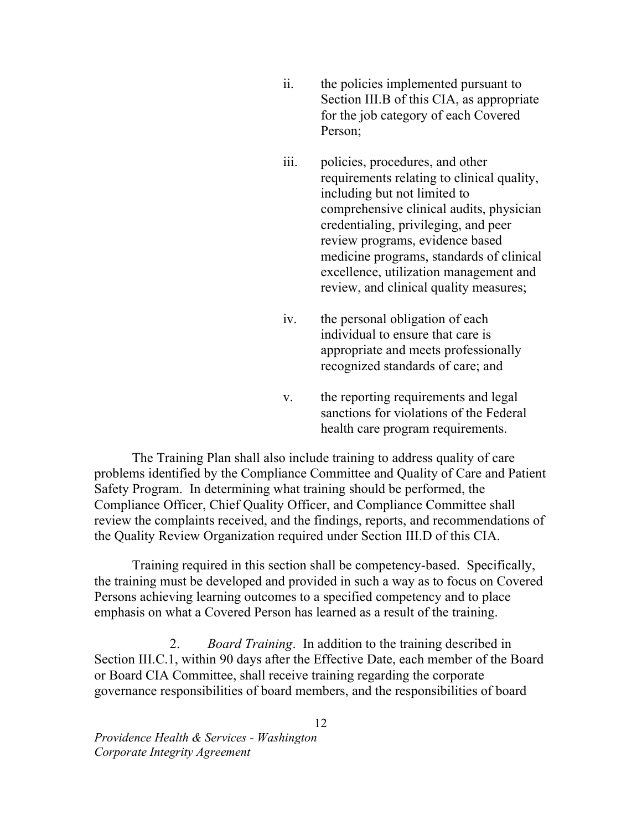- $ii.$  Section III.B of this CIA, as appropriate for the job category of each Covered Person: the policies implemented pursuant to
- iii. requirements relating to clinical quality, including but not limited to comprehensive clinical audits, physician credentialing, privileging, and peer review programs, evidence based medicine programs, standards of clinical excellence, utilization management and review, and clinical quality measures; policies, procedures, and other
- $iv_{i}$  individual to ensure that care is appropriate and meets professionally recognized standards of care; and the personal obligation of each
- $V<sub>1</sub>$  sanctions for violations of the Federal health care program requirements. the reporting requirements and legal

 The Training Plan shall also include training to address quality of care problems identified by the Compliance Committee and Quality of Care and Patient Safety Program. In determining what training should be performed, the Compliance Officer, Chief Quality Officer, and Compliance Committee shall review the complaints received, and the findings, reports, and recommendations of the Quality Review Organization required under Section III.D of this CIA.

 Training required in this section shall be competency-based. Specifically, the training must be developed and provided in such a way as to focus on Covered Persons achieving learning outcomes to a specified competency and to place emphasis on what a Covered Person has learned as a result of the training.

2. Board Training. In addition to the training described in Section III.C.1, within 90 days after the Effective Date, each member of the Board or Board CIA Committee, shall receive training regarding the corporate governance responsibilities of board members, and the responsibilities of board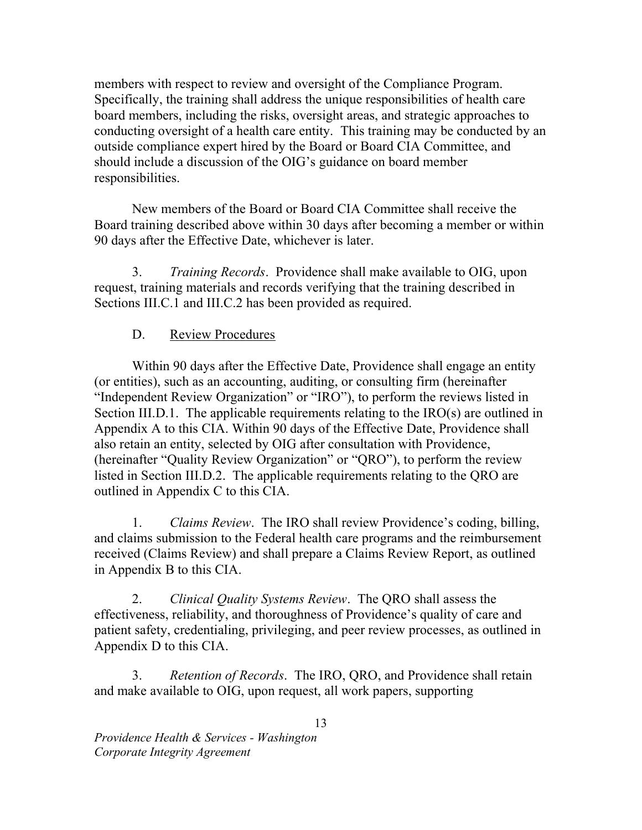members with respect to review and oversight of the Compliance Program. Specifically, the training shall address the unique responsibilities of health care board members, including the risks, oversight areas, and strategic approaches to conducting oversight of a health care entity. This training may be conducted by an outside compliance expert hired by the Board or Board CIA Committee, and should include a discussion of the OIG's guidance on board member responsibilities.

responsibilities.<br>New members of the Board or Board CIA Committee shall receive the Board training described above within 30 days after becoming a member or within 90 days after the Effective Date, whichever is later.

3. Training Records. Providence shall make available to OIG, upon request, training materials and records verifying that the training described in Sections III.C.1 and III.C.2 has been provided as required.

# D. Review Procedures

 Within 90 days after the Effective Date, Providence shall engage an entity (or entities), such as an accounting, auditing, or consulting firm (hereinafter "Independent Review Organization" or "IRO"), to perform the reviews listed in Section III.D.1. The applicable requirements relating to the  $\text{IRO}(s)$  are outlined in Appendix A to this CIA. Within 90 days of the Effective Date, Providence shall also retain an entity, selected by OIG after consultation with Providence, (hereinafter "Quality Review Organization" or "QRO"), to perform the review listed in Section III.D.2. The applicable requirements relating to the QRO are outlined in Appendix C to this CIA.

 1. Claims Review. The IRO shall review Providence's coding, billing, and claims submission to the Federal health care programs and the reimbursement received (Claims Review) and shall prepare a Claims Review Report, as outlined in Appendix B to this CIA.

2. Clinical Quality Systems Review. The QRO shall assess the effectiveness, reliability, and thoroughness of Providence's quality of care and patient safety, credentialing, privileging, and peer review processes, as outlined in Appendix D to this CIA.

3. Retention of Records. The IRO, QRO, and Providence shall retain and make available to OIG, upon request, all work papers, supporting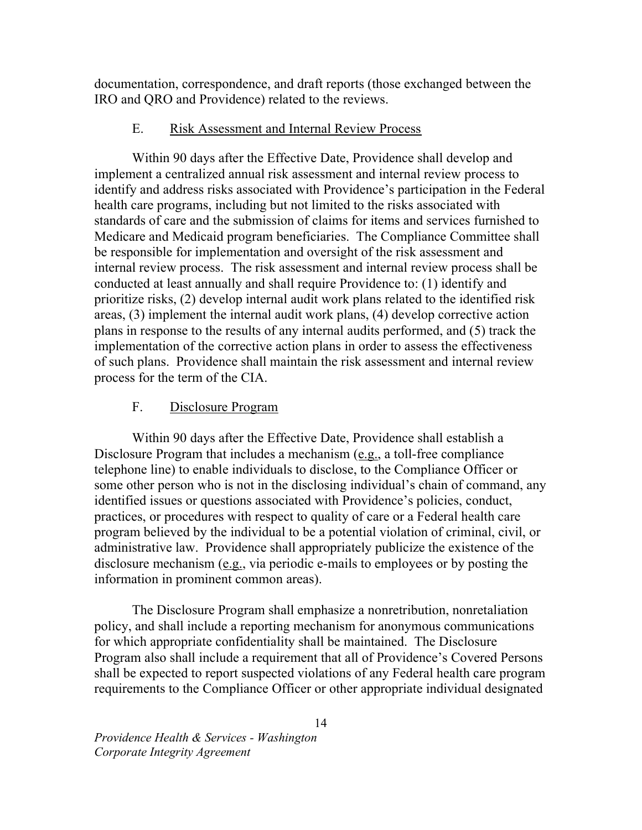documentation, correspondence, and draft reports (those exchanged between the IRO and QRO and Providence) related to the reviews.

#### $E_{\rm{m}}$ E. Risk Assessment and Internal Review Process

 Within 90 days after the Effective Date, Providence shall develop and implement a centralized annual risk assessment and internal review process to identify and address risks associated with Providence's participation in the Federal health care programs, including but not limited to the risks associated with standards of care and the submission of claims for items and services furnished to Medicare and Medicaid program beneficiaries. The Compliance Committee shall be responsible for implementation and oversight of the risk assessment and internal review process. The risk assessment and internal review process shall be conducted at least annually and shall require Providence to: (1) identify and prioritize risks, (2) develop internal audit work plans related to the identified risk areas, (3) implement the internal audit work plans, (4) develop corrective action plans in response to the results of any internal audits performed, and (5) track the implementation of the corrective action plans in order to assess the effectiveness of such plans. Providence shall maintain the risk assessment and internal review process for the term of the CIA.

### F. Disclosure Program

 Within 90 days after the Effective Date, Providence shall establish a Disclosure Program that includes a mechanism (e.g., a toll-free compliance telephone line) to enable individuals to disclose, to the Compliance Officer or some other person who is not in the disclosing individual's chain of command, any identified issues or questions associated with Providence's policies, conduct, practices, or procedures with respect to quality of care or a Federal health care program believed by the individual to be a potential violation of criminal, civil, or administrative law. Providence shall appropriately publicize the existence of the disclosure mechanism  $(e.g.,$  via periodic e-mails to employees or by posting the information in prominent common areas).

 The Disclosure Program shall emphasize a nonretribution, nonretaliation policy, and shall include a reporting mechanism for anonymous communications for which appropriate confidentiality shall be maintained. The Disclosure Program also shall include a requirement that all of Providence's Covered Persons shall be expected to report suspected violations of any Federal health care program requirements to the Compliance Officer or other appropriate individual designated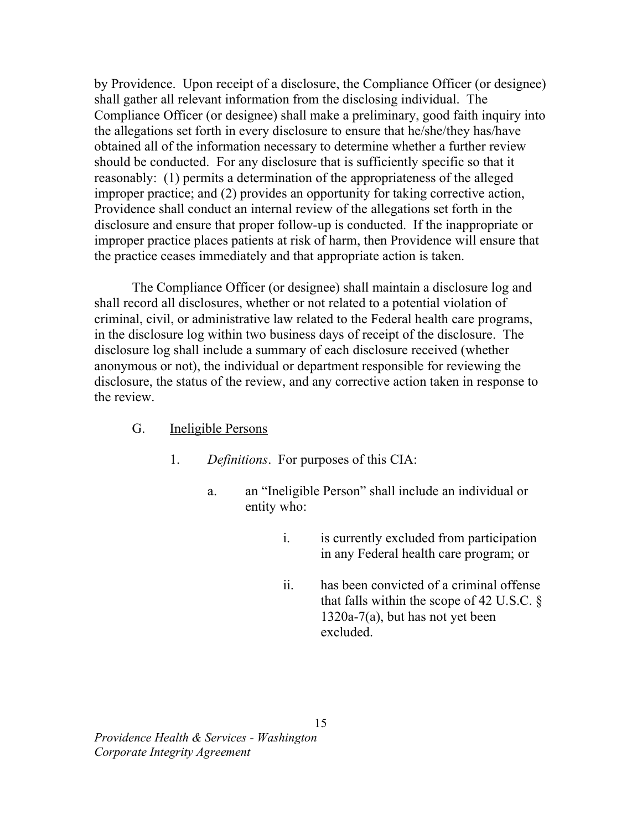by Providence. Upon receipt of a disclosure, the Compliance Officer (or designee) shall gather all relevant information from the disclosing individual. The Compliance Officer (or designee) shall make a preliminary, good faith inquiry into the allegations set forth in every disclosure to ensure that he/she/they has/have obtained all of the information necessary to determine whether a further review should be conducted. For any disclosure that is sufficiently specific so that it reasonably: (1) permits a determination of the appropriateness of the alleged improper practice; and (2) provides an opportunity for taking corrective action, Providence shall conduct an internal review of the allegations set forth in the disclosure and ensure that proper follow-up is conducted. If the inappropriate or improper practice places patients at risk of harm, then Providence will ensure that the practice ceases immediately and that appropriate action is taken.

 The Compliance Officer (or designee) shall maintain a disclosure log and shall record all disclosures, whether or not related to a potential violation of criminal, civil, or administrative law related to the Federal health care programs, in the disclosure log within two business days of receipt of the disclosure. The disclosure log shall include a summary of each disclosure received (whether anonymous or not), the individual or department responsible for reviewing the disclosure, the status of the review, and any corrective action taken in response to the review.

### G. **Ineligible Persons**

- 1. Definitions. For purposes of this CIA:
	- $\mathbf{a}$ . entity who: an "Ineligible Person" shall include an individual or
		- $\mathbf{i}$ . in any Federal health care program; or is currently excluded from participation
		- $ii.$ that falls within the scope of 42 U.S.C.  $\S$  1320a-7(a), but has not yet been has been convicted of a criminal offense excluded.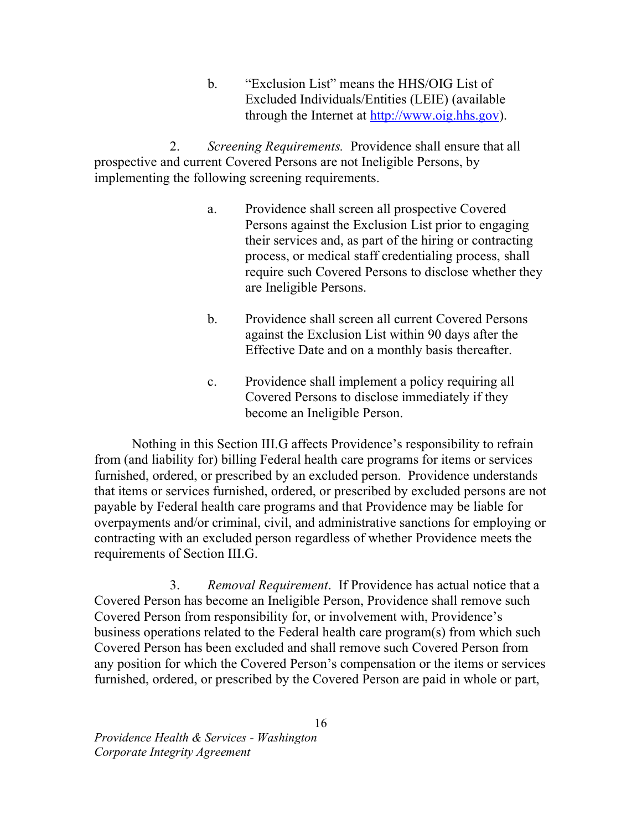b. "Exclusion List" means the HHS/OIG List of Excluded Individuals/Entities (LEIE) (available through the Internet at http://www.oig.hhs.gov).

 $2.$  prospective and current Covered Persons are not Ineligible Persons, by implementing the following screening requirements. Screening Requirements. Providence shall ensure that all

- a. Persons against the Exclusion List prior to engaging their services and, as part of the hiring or contracting process, or medical staff credentialing process, shall require such Covered Persons to disclose whether they are Ineligible Persons. Providence shall screen all prospective Covered
- $<sub>b</sub>$ .</sub> against the Exclusion List within 90 days after the Effective Date and on a monthly basis thereafter. Providence shall screen all current Covered Persons
- $\mathbf{c}$ . Covered Persons to disclose immediately if they become an Ineligible Person. Providence shall implement a policy requiring all

 Nothing in this Section III.G affects Providence's responsibility to refrain from (and liability for) billing Federal health care programs for items or services furnished, ordered, or prescribed by an excluded person. Providence understands that items or services furnished, ordered, or prescribed by excluded persons are not payable by Federal health care programs and that Providence may be liable for overpayments and/or criminal, civil, and administrative sanctions for employing or contracting with an excluded person regardless of whether Providence meets the requirements of Section III.G.

3. Removal Requirement. If Providence has actual notice that a Covered Person has become an Ineligible Person, Providence shall remove such Covered Person from responsibility for, or involvement with, Providence's business operations related to the Federal health care program(s) from which such Covered Person has been excluded and shall remove such Covered Person from any position for which the Covered Person's compensation or the items or services furnished, ordered, or prescribed by the Covered Person are paid in whole or part,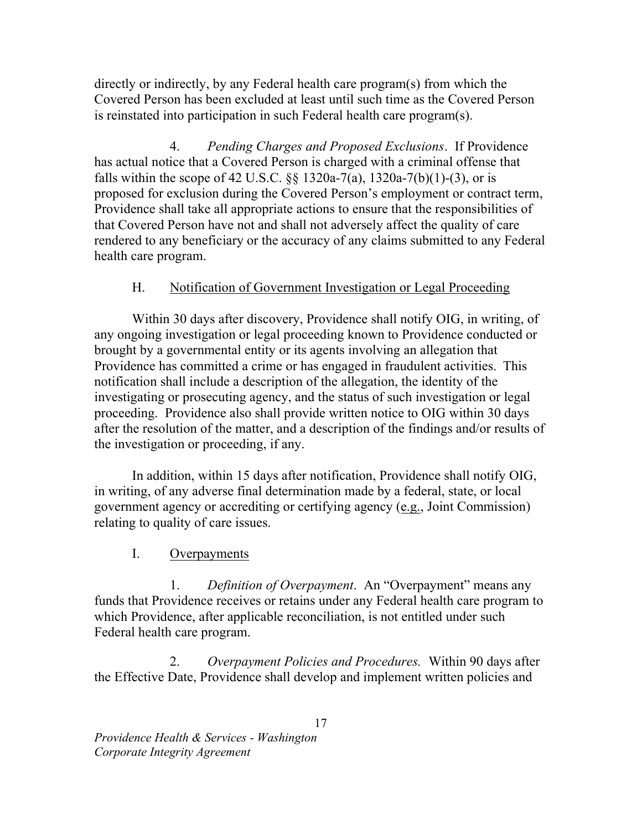directly or indirectly, by any Federal health care program(s) from which the Covered Person has been excluded at least until such time as the Covered Person is reinstated into participation in such Federal health care program(s).

 $\mathbf{4}$ . has actual notice that a Covered Person is charged with a criminal offense that falls within the scope of 42 U.S.C.  $\S$ § 1320a-7(a), 1320a-7(b)(1)-(3), or is proposed for exclusion during the Covered Person's employment or contract term, Providence shall take all appropriate actions to ensure that the responsibilities of that Covered Person have not and shall not adversely affect the quality of care rendered to any beneficiary or the accuracy of any claims submitted to any Federal health care program. Pending Charges and Proposed Exclusions. If Providence

### $H_{\cdot}$ Notification of Government Investigation or Legal Proceeding

 Within 30 days after discovery, Providence shall notify OIG, in writing, of any ongoing investigation or legal proceeding known to Providence conducted or brought by a governmental entity or its agents involving an allegation that Providence has committed a crime or has engaged in fraudulent activities. This notification shall include a description of the allegation, the identity of the investigating or prosecuting agency, and the status of such investigation or legal proceeding. Providence also shall provide written notice to OIG within 30 days after the resolution of the matter, and a description of the findings and/or results of the investigation or proceeding, if any.

 In addition, within 15 days after notification, Providence shall notify OIG, in writing, of any adverse final determination made by a federal, state, or local government agency or accrediting or certifying agency (e.g., Joint Commission) relating to quality of care issues.

#### $\mathbf{L}$ **Overpayments**

1. Definition of Overpayment. An "Overpayment" means any funds that Providence receives or retains under any Federal health care program to which Providence, after applicable reconciliation, is not entitled under such Federal health care program.

2. Overpayment Policies and Procedures. Within 90 days after the Effective Date, Providence shall develop and implement written policies and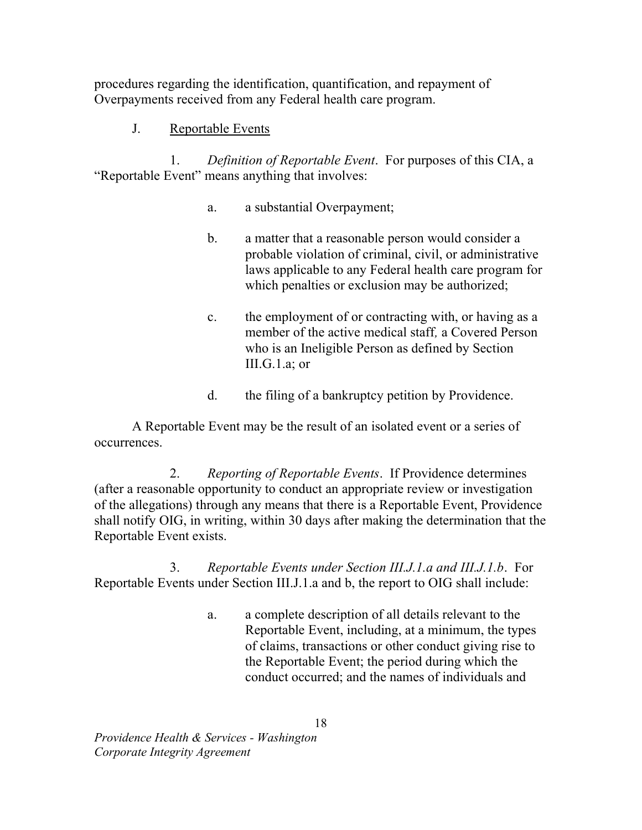procedures regarding the identification, quantification, and repayment of Overpayments received from any Federal health care program.

### $\mathbf{J}$ . Reportable Events

 $1_{-}$  "Reportable Event" means anything that involves: Definition of Reportable Event. For purposes of this CIA. a

- a. a substantial Overpayment;
- $\mathbf{b}$ . probable violation of criminal, civil, or administrative laws applicable to any Federal health care program for which penalties or exclusion may be authorized; a matter that a reasonable person would consider a
- $c.$  member of the active medical staff, a Covered Person who is an Ineligible Person as defined by Section III.G.1.a; or the employment of or contracting with, or having as a
- d. the filing of a bankruptcy petition by Providence.

 A Reportable Event may be the result of an isolated event or a series of occurrences.

 $2.$  (after a reasonable opportunity to conduct an appropriate review or investigation of the allegations) through any means that there is a Reportable Event, Providence shall notify OIG, in writing, within 30 days after making the determination that the Reportable Event exists. 2. Reporting of Reportable Events. If Providence determines

3. Reportable Events under Section III.J.1.a and b, the report to OIG shall include: 3. Reportable Events under Section III.J.1.a and III.J.1.b. For

> $a<sub>1</sub>$  Reportable Event, including, at a minimum, the types of claims, transactions or other conduct giving rise to the Reportable Event; the period during which the conduct occurred; and the names of individuals and a complete description of all details relevant to the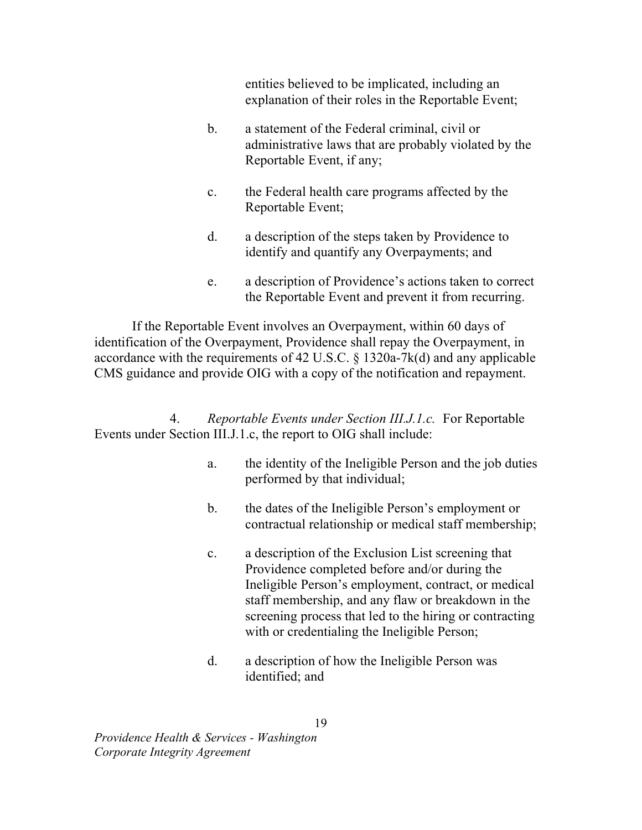entities believed to be implicated, including an explanation of their roles in the Reportable Event;

- $\mathbf{b}$ . administrative laws that are probably violated by the Reportable Event, if any; a statement of the Federal criminal, civil or
- $\mathbf{c}$ . Reportable Event; the Federal health care programs affected by the
- d. identify and quantify any Overpayments; and a description of the steps taken by Providence to
- e. the Reportable Event and prevent it from recurring. a description of Providence's actions taken to correct

 If the Reportable Event involves an Overpayment, within 60 days of identification of the Overpayment, Providence shall repay the Overpayment, in accordance with the requirements of 42 U.S.C. § 1320a-7k(d) and any applicable CMS guidance and provide OIG with a copy of the notification and repayment.

4. Reportable Events under Section III.J.1.c. For Reportable Events under Section III.J.1.c, the report to OIG shall include:

- $a<sub>1</sub>$  performed by that individual; the identity of the Ineligible Person and the job duties
- $\mathbf{b}$ . contractual relationship or medical staff membership; the dates of the Ineligible Person's employment or
- $\mathbf{c}$ . Providence completed before and/or during the Ineligible Person's employment, contract, or medical staff membership, and any flaw or breakdown in the screening process that led to the hiring or contracting with or credentialing the Ineligible Person; a description of the Exclusion List screening that
- $d_{\cdot}$  identified; and a description of how the Ineligible Person was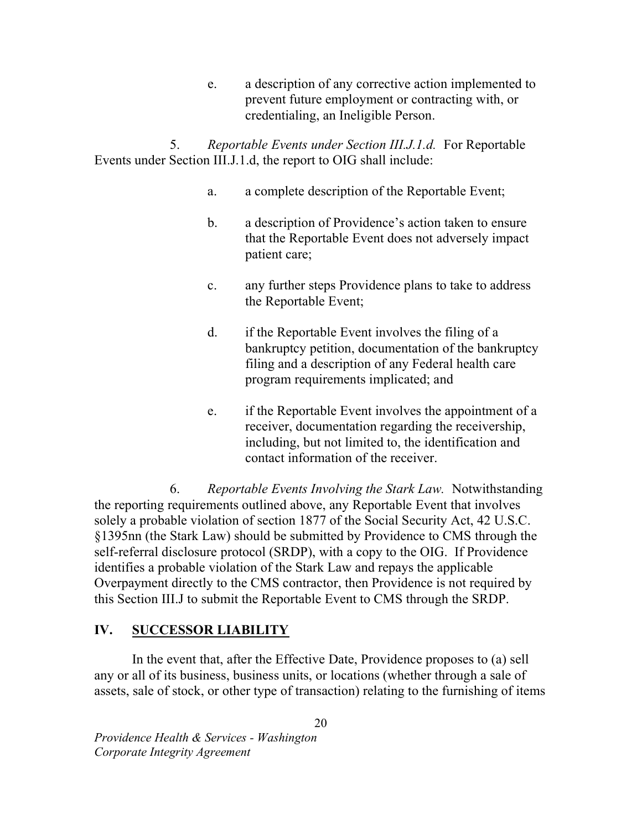e. prevent future employment or contracting with, or credentialing, an Ineligible Person. a description of any corrective action implemented to

 $5<sub>1</sub>$  Events under Section III.J.1.d, the report to OIG shall include: 5. Reportable Events under Section III.J.1.d. For Reportable

- $a<sub>z</sub>$ a complete description of the Reportable Event;
- $\mathbf{b}$ . that the Reportable Event does not adversely impact patient care; a description of Providence's action taken to ensure
- $\mathbf{c}$ . the Reportable Event; any further steps Providence plans to take to address
- $d_{-}$  bankruptcy petition, documentation of the bankruptcy filing and a description of any Federal health care program requirements implicated; and if the Reportable Event involves the filing of a
- e. receiver, documentation regarding the receivership, including, but not limited to, the identification and contact information of the receiver. if the Reportable Event involves the appointment of a

6. Reportable Events Involving the Stark Law. Notwithstanding the reporting requirements outlined above, any Reportable Event that involves solely a probable violation of section 1877 of the Social Security Act, 42 U.S.C. §1395nn (the Stark Law) should be submitted by Providence to CMS through the self-referral disclosure protocol (SRDP), with a copy to the OIG. If Providence identifies a probable violation of the Stark Law and repays the applicable Overpayment directly to the CMS contractor, then Providence is not required by this Section III.J to submit the Reportable Event to CMS through the SRDP.

## IV. SUCCESSOR LIABILITY

 In the event that, after the Effective Date, Providence proposes to (a) sell any or all of its business, business units, or locations (whether through a sale of assets, sale of stock, or other type of transaction) relating to the furnishing of items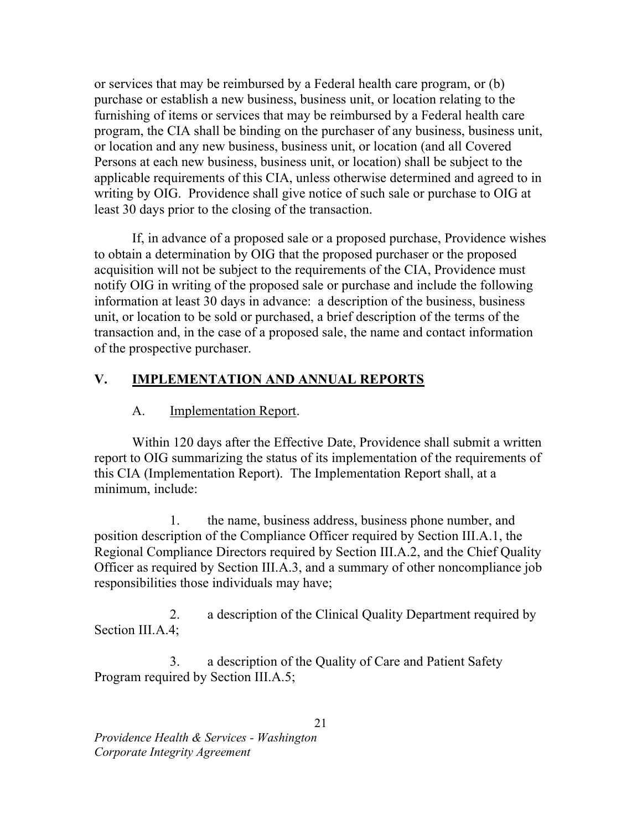or services that may be reimbursed by a Federal health care program, or (b) purchase or establish a new business, business unit, or location relating to the furnishing of items or services that may be reimbursed by a Federal health care program, the CIA shall be binding on the purchaser of any business, business unit, or location and any new business, business unit, or location (and all Covered Persons at each new business, business unit, or location) shall be subject to the applicable requirements of this CIA, unless otherwise determined and agreed to in writing by OIG. Providence shall give notice of such sale or purchase to OIG at least 30 days prior to the closing of the transaction.

 If, in advance of a proposed sale or a proposed purchase, Providence wishes to obtain a determination by OIG that the proposed purchaser or the proposed acquisition will not be subject to the requirements of the CIA, Providence must notify OIG in writing of the proposed sale or purchase and include the following information at least 30 days in advance: a description of the business, business unit, or location to be sold or purchased, a brief description of the terms of the transaction and, in the case of a proposed sale, the name and contact information of the prospective purchaser.

# V. **IMPLEMENTATION AND ANNUAL REPORTS**

#### $A<sub>1</sub>$ **Implementation Report.**

 Within 120 days after the Effective Date, Providence shall submit a written report to OIG summarizing the status of its implementation of the requirements of this CIA (Implementation Report). The Implementation Report shall, at a minimum, include:

1. position description of the Compliance Officer required by Section III.A.1, the Regional Compliance Directors required by Section III.A.2, and the Chief Quality Officer as required by Section III.A.3, and a summary of other noncompliance job responsibilities those individuals may have; the name, business address, business phone number, and

 $2.$  Section III.A.4; a description of the Clinical Quality Department required by

 Program required by Section III.A.5; a description of the Quality of Care and Patient Safety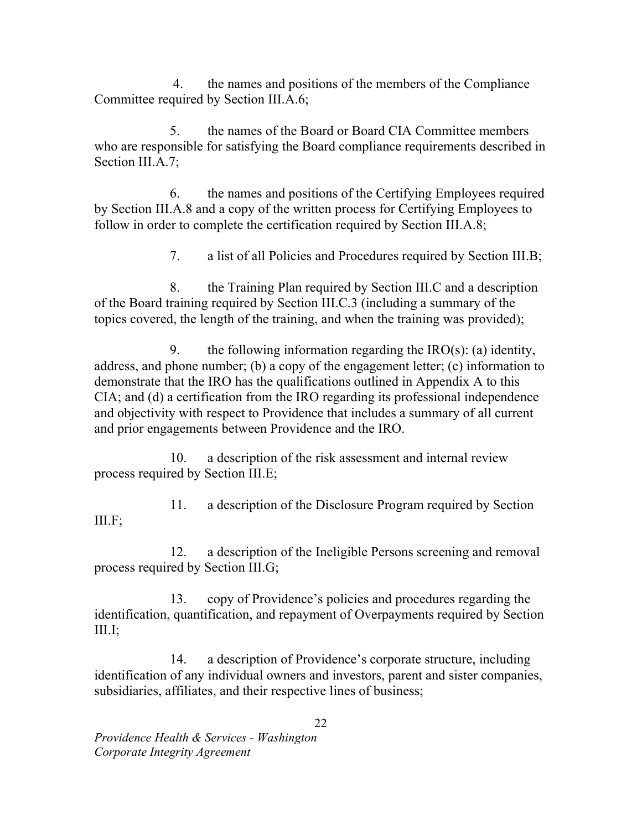$\overline{4}$  Committee required by Section III.A.6; the names and positions of the members of the Compliance

 $5<sub>1</sub>$  who are responsible for satisfying the Board compliance requirements described in Section III.A.7; the names of the Board or Board CIA Committee members

6. by Section III.A.8 and a copy of the written process for Certifying Employees to follow in order to complete the certification required by Section III.A.8; the names and positions of the Certifying Employees required

> 7. a list of all Policies and Procedures required by Section III.B;

 8. the Training Plan required by Section III.C and a description of the Board training required by Section III.C.3 (including a summary of the topics covered, the length of the training, and when the training was provided);

9. the following information regarding the  $IRO(s)$ : (a) identity, address, and phone number; (b) a copy of the engagement letter; (c) information to demonstrate that the IRO has the qualifications outlined in Appendix A to this CIA; and (d) a certification from the IRO regarding its professional independence and objectivity with respect to Providence that includes a summary of all current and prior engagements between Providence and the IRO.

10. process required by Section III.E; a description of the risk assessment and internal review

11. a description of the Disclosure Program required by Section III.F;

12. process required by Section III.G; a description of the Ineligible Persons screening and removal

 $13<sub>1</sub>$  identification, quantification, and repayment of Overpayments required by Section 13. copy of Providence's policies and procedures regarding the III.I;

14. identification of any individual owners and investors, parent and sister companies, subsidiaries, affiliates, and their respective lines of business; a description of Providence's corporate structure, including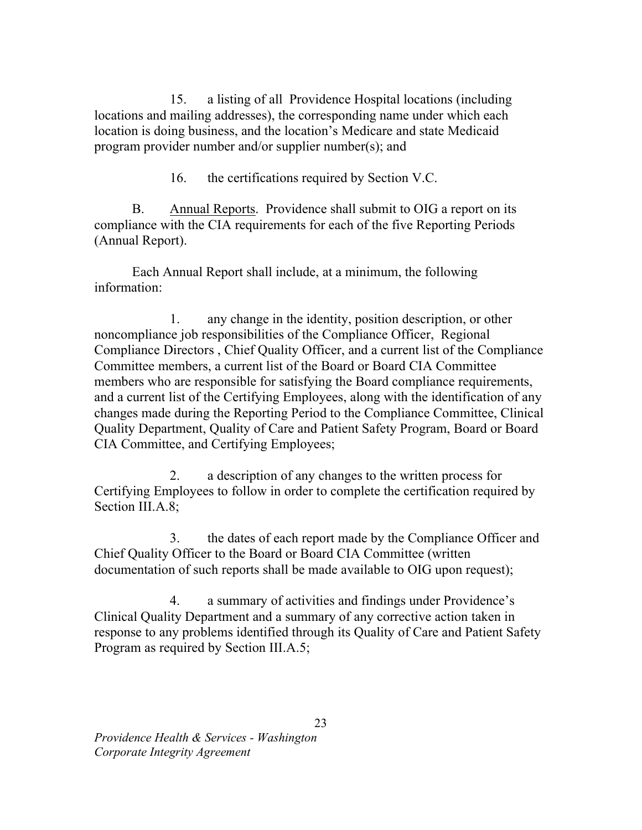15. locations and mailing addresses), the corresponding name under which each location is doing business, and the location's Medicare and state Medicaid program provider number and/or supplier number(s); and a listing of all Providence Hospital locations (including

> 16. the certifications required by Section V.C.

**B.**  compliance with the CIA requirements for each of the five Reporting Periods (Annual Report). Annual Reports. Providence shall submit to OIG a report on its

Each Annual Report shall include, at a minimum, the following information:

 $1<sup>1</sup>$  noncompliance job responsibilities of the Compliance Officer, Regional Compliance Directors , Chief Quality Officer, and a current list of the Compliance Committee members, a current list of the Board or Board CIA Committee members who are responsible for satisfying the Board compliance requirements, and a current list of the Certifying Employees, along with the identification of any changes made during the Reporting Period to the Compliance Committee, Clinical Quality Department, Quality of Care and Patient Safety Program, Board or Board CIA Committee, and Certifying Employees; any change in the identity, position description, or other

2. Certifying Employees to follow in order to complete the certification required by Section III.A.8; a description of any changes to the written process for

 $\mathcal{E}$  Chief Quality Officer to the Board or Board CIA Committee (written documentation of such reports shall be made available to OIG upon request); the dates of each report made by the Compliance Officer and

 $\overline{4}$ . Clinical Quality Department and a summary of any corrective action taken in response to any problems identified through its Quality of Care and Patient Safety Program as required by Section III.A.5; a summary of activities and findings under Providence's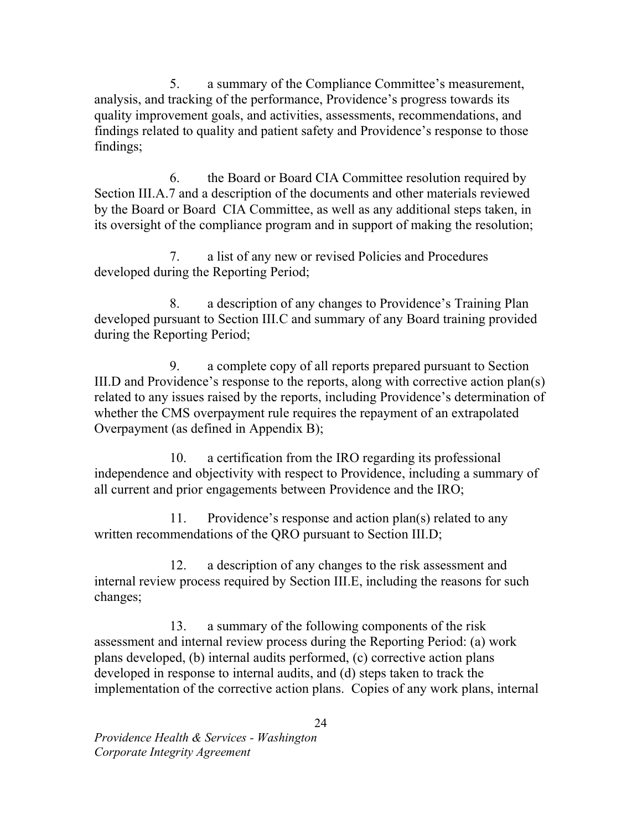$5<sub>1</sub>$  analysis, and tracking of the performance, Providence's progress towards its quality improvement goals, and activities, assessments, recommendations, and findings related to quality and patient safety and Providence's response to those a summary of the Compliance Committee's measurement, findings;

6. Section III.A.7 and a description of the documents and other materials reviewed by the Board or Board CIA Committee, as well as any additional steps taken, in its oversight of the compliance program and in support of making the resolution; the Board or Board CIA Committee resolution required by

7. developed during the Reporting Period; a list of any new or revised Policies and Procedures

 $8_{-}$  developed pursuant to Section III.C and summary of any Board training provided during the Reporting Period; a description of any changes to Providence's Training Plan

9 III.D and Providence's response to the reports, along with corrective action plan(s) related to any issues raised by the reports, including Providence's determination of whether the CMS overpayment rule requires the repayment of an extrapolated Overpayment (as defined in Appendix B); a complete copy of all reports prepared pursuant to Section

 $10.$  independence and objectivity with respect to Providence, including a summary of all current and prior engagements between Providence and the IRO; a certification from the IRO regarding its professional

 11. Providence's response and action plan(s) related to any written recommendations of the QRO pursuant to Section III.D;

12. internal review process required by Section III.E, including the reasons for such a description of any changes to the risk assessment and changes;

13. assessment and internal review process during the Reporting Period: (a) work plans developed, (b) internal audits performed, (c) corrective action plans developed in response to internal audits, and (d) steps taken to track the implementation of the corrective action plans. Copies of any work plans, internal a summary of the following components of the risk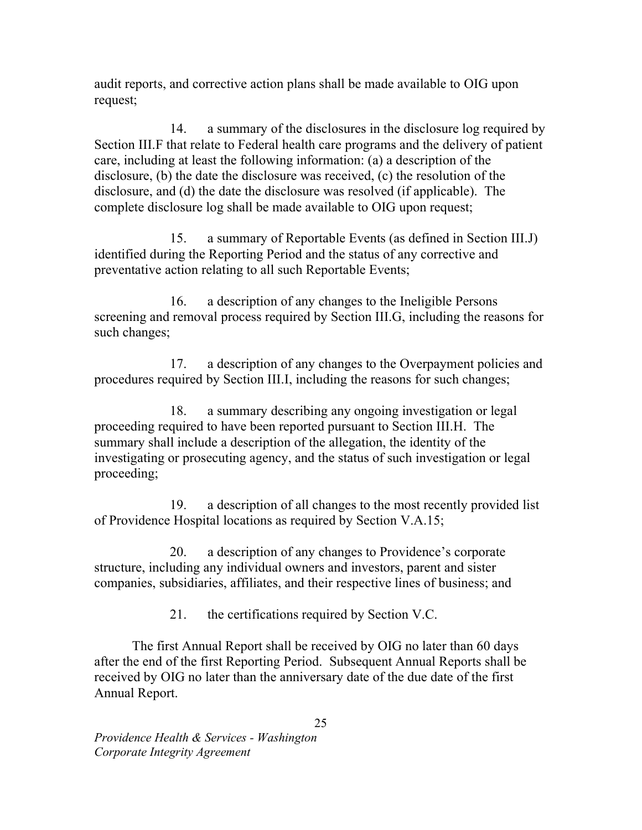audit reports, and corrective action plans shall be made available to OIG upon request;

14. Section III.F that relate to Federal health care programs and the delivery of patient care, including at least the following information: (a) a description of the disclosure, (b) the date the disclosure was received, (c) the resolution of the disclosure, and (d) the date the disclosure was resolved (if applicable). The complete disclosure log shall be made available to OIG upon request; a summary of the disclosures in the disclosure log required by

15. identified during the Reporting Period and the status of any corrective and preventative action relating to all such Reportable Events; a summary of Reportable Events (as defined in Section III.J)

16. screening and removal process required by Section III.G, including the reasons for such changes; a description of any changes to the Ineligible Persons

17. procedures required by Section III.I, including the reasons for such changes; a description of any changes to the Overpayment policies and

18. proceeding required to have been reported pursuant to Section III.H. The summary shall include a description of the allegation, the identity of the investigating or prosecuting agency, and the status of such investigation or legal a summary describing any ongoing investigation or legal proceeding;

 $19.$  of Providence Hospital locations as required by Section V.A.15; a description of all changes to the most recently provided list

 structure, including any individual owners and investors, parent and sister companies, subsidiaries, affiliates, and their respective lines of business; and 20. a description of any changes to Providence's corporate

> $21$ the certifications required by Section V.C.

 after the end of the first Reporting Period. Subsequent Annual Reports shall be received by OIG no later than the anniversary date of the due date of the first Annual Report. The first Annual Report shall be received by OIG no later than 60 days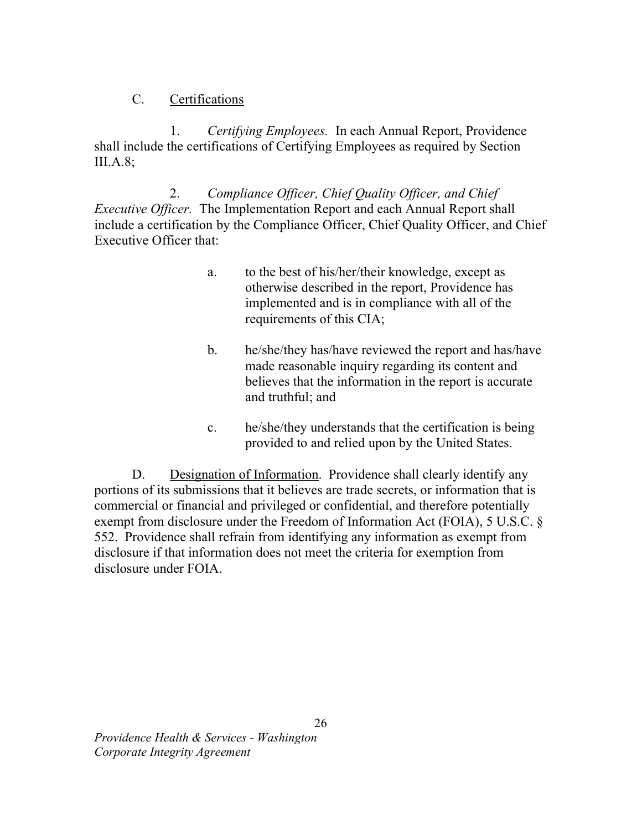## C. Certifications

1. Certifying Employees. In each Annual Report, Providence shall include the certifications of Certifying Employees as required by Section III.A.8;

Executive Officer. The Implementation Report and each Annual Report shall include a certification by the Compliance Officer, Chief Quality Officer, and Chief Executive Officer that: 2. Compliance Officer, Chief Quality Officer, and Chief

- $a<sub>1</sub>$  otherwise described in the report, Providence has implemented and is in compliance with all of the requirements of this CIA; to the best of his/her/their knowledge, except as
- b. he/she/they has/have reviewed the report and has/have made reasonable inquiry regarding its content and believes that the information in the report is accurate and truthful; and
- c. he/she/they understands that the certification is being provided to and relied upon by the United States.

 portions of its submissions that it believes are trade secrets, or information that is commercial or financial and privileged or confidential, and therefore potentially exempt from disclosure under the Freedom of Information Act (FOIA), 5 U.S.C. § 552. Providence shall refrain from identifying any information as exempt from disclosure if that information does not meet the criteria for exemption from disclosure under FOIA. D. Designation of Information. Providence shall clearly identify any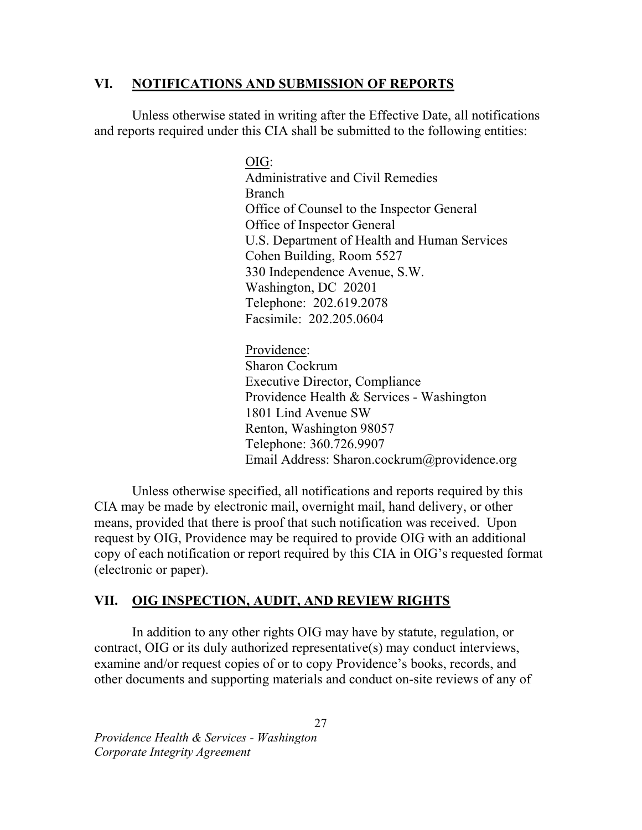## VI. NOTIFICATIONS AND SUBMISSION OF REPORTS

 Unless otherwise stated in writing after the Effective Date, all notifications and reports required under this CIA shall be submitted to the following entities:

> Administrative and Civil Remedies **Branch** Branch<br>Office of Counsel to the Inspector General Office of Inspector General U.S. Department of Health and Human Services Cohen Building, Room 5527 330 Independence Avenue, S.W. Washington, DC 20201 Telephone: 202.619.2078 Facsimile: 202.205.0604 OIG:

 Sharon Cockrum Executive Director, Compliance Providence Health & Services - Washington 1801 Lind Avenue SW Renton, Washington 98057 Telephone: 360.726.9907 Telephone: 360.726.9907<br>Email Address: Sharon.cockrum@providence.org Providence:

 Unless otherwise specified, all notifications and reports required by this CIA may be made by electronic mail, overnight mail, hand delivery, or other means, provided that there is proof that such notification was received. Upon request by OIG, Providence may be required to provide OIG with an additional copy of each notification or report required by this CIA in OIG's requested format (electronic or paper).

# VII. OIG INSPECTION, AUDIT, AND REVIEW RIGHTS

 contract, OIG or its duly authorized representative(s) may conduct interviews, examine and/or request copies of or to copy Providence's books, records, and other documents and supporting materials and conduct on-site reviews of any of In addition to any other rights OIG may have by statute, regulation, or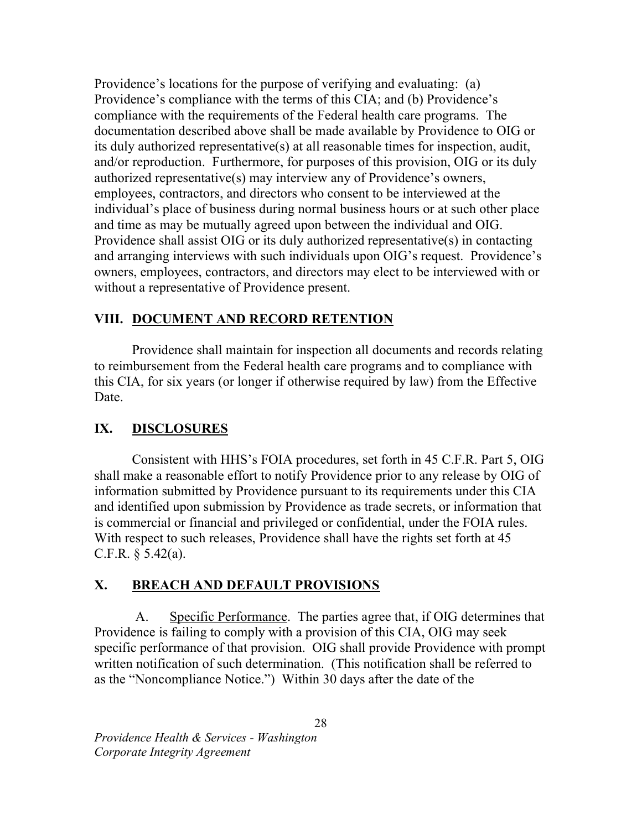Providence's locations for the purpose of verifying and evaluating: (a) Providence's compliance with the terms of this CIA; and (b) Providence's compliance with the requirements of the Federal health care programs. The documentation described above shall be made available by Providence to OIG or its duly authorized representative(s) at all reasonable times for inspection, audit, and/or reproduction. Furthermore, for purposes of this provision, OIG or its duly authorized representative(s) may interview any of Providence's owners, employees, contractors, and directors who consent to be interviewed at the individual's place of business during normal business hours or at such other place and time as may be mutually agreed upon between the individual and OIG. Providence shall assist OIG or its duly authorized representative(s) in contacting and arranging interviews with such individuals upon OIG's request. Providence's owners, employees, contractors, and directors may elect to be interviewed with or without a representative of Providence present.

# VIII. DOCUMENT AND RECORD RETENTION

 Providence shall maintain for inspection all documents and records relating to reimbursement from the Federal health care programs and to compliance with this CIA, for six years (or longer if otherwise required by law) from the Effective Date.

#### IX. **DISCLOSURES**

 Consistent with HHS's FOIA procedures, set forth in 45 C.F.R. Part 5, OIG shall make a reasonable effort to notify Providence prior to any release by OIG of information submitted by Providence pursuant to its requirements under this CIA and identified upon submission by Providence as trade secrets, or information that is commercial or financial and privileged or confidential, under the FOIA rules. With respect to such releases, Providence shall have the rights set forth at 45 C.F.R.  $\S$  5.42(a).

## X. BREACH AND DEFAULT PROVISIONS

 Providence is failing to comply with a provision of this CIA, OIG may seek specific performance of that provision. OIG shall provide Providence with prompt written notification of such determination. (This notification shall be referred to as the "Noncompliance Notice.") Within 30 days after the date of the A. Specific Performance. The parties agree that, if OIG determines that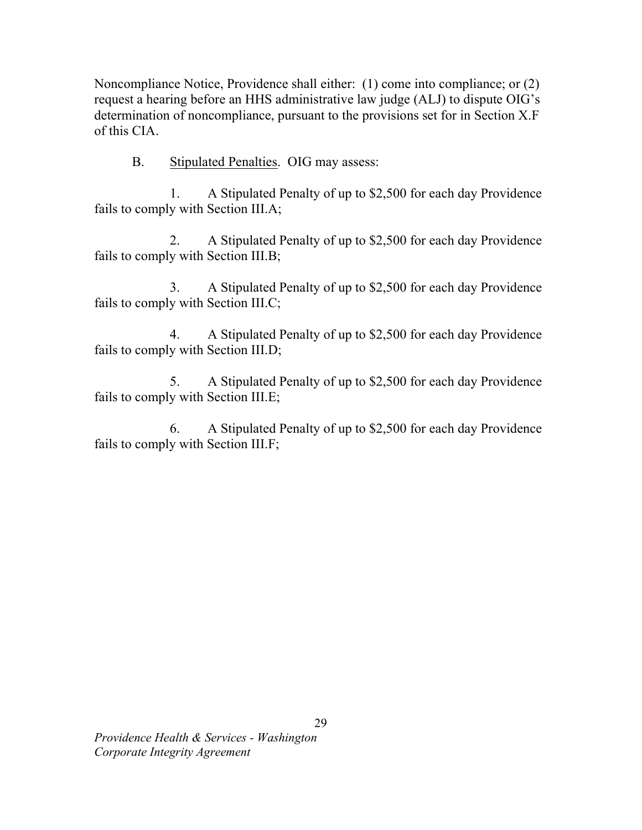Noncompliance Notice, Providence shall either: (1) come into compliance; or (2) request a hearing before an HHS administrative law judge (ALJ) to dispute OIG's determination of noncompliance, pursuant to the provisions set for in Section X.F of this CIA.

B. Stipulated Penalties. OIG may assess:

 fails to comply with Section III.A; 1. A Stipulated Penalty of up to \$2,500 for each day Providence

 fails to comply with Section III.B; 2. A Stipulated Penalty of up to \$2,500 for each day Providence

 fails to comply with Section III.C; 3. A Stipulated Penalty of up to \$2,500 for each day Providence

 fails to comply with Section III.D; 4. A Stipulated Penalty of up to \$2,500 for each day Providence

 fails to comply with Section III.E; 5. A Stipulated Penalty of up to \$2,500 for each day Providence

 fails to comply with Section III.F; 6. A Stipulated Penalty of up to \$2,500 for each day Providence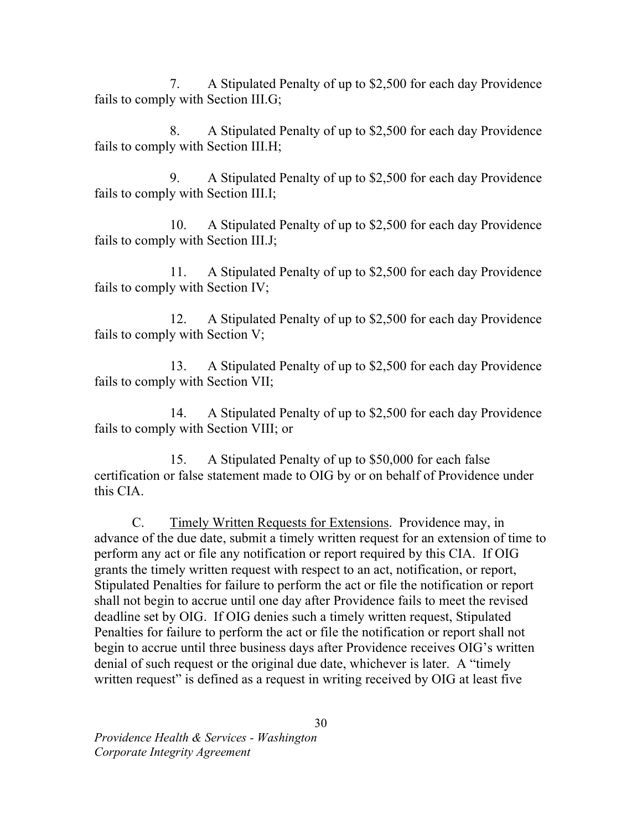fails to comply with Section III.G; 7. A Stipulated Penalty of up to \$2,500 for each day Providence

 fails to comply with Section III.H; 8. A Stipulated Penalty of up to \$2,500 for each day Providence

 fails to comply with Section III.I; 9. A Stipulated Penalty of up to \$2,500 for each day Providence

 fails to comply with Section III.J; 10. A Stipulated Penalty of up to \$2,500 for each day Providence

 fails to comply with Section IV; 11. A Stipulated Penalty of up to \$2,500 for each day Providence

 fails to comply with Section V; 12. A Stipulated Penalty of up to \$2,500 for each day Providence

 fails to comply with Section VII; 13. A Stipulated Penalty of up to \$2,500 for each day Providence

 fails to comply with Section VIII; or 14. A Stipulated Penalty of up to \$2,500 for each day Providence

 certification or false statement made to OIG by or on behalf of Providence under this CIA. 15. A Stipulated Penalty of up to \$50,000 for each false

 $C_{\cdot}$  advance of the due date, submit a timely written request for an extension of time to perform any act or file any notification or report required by this CIA. If OIG grants the timely written request with respect to an act, notification, or report, Stipulated Penalties for failure to perform the act or file the notification or report shall not begin to accrue until one day after Providence fails to meet the revised deadline set by OIG. If OIG denies such a timely written request, Stipulated Penalties for failure to perform the act or file the notification or report shall not begin to accrue until three business days after Providence receives OIG's written denial of such request or the original due date, whichever is later. A "timely written request" is defined as a request in writing received by OIG at least five Timely Written Requests for Extensions. Providence may, in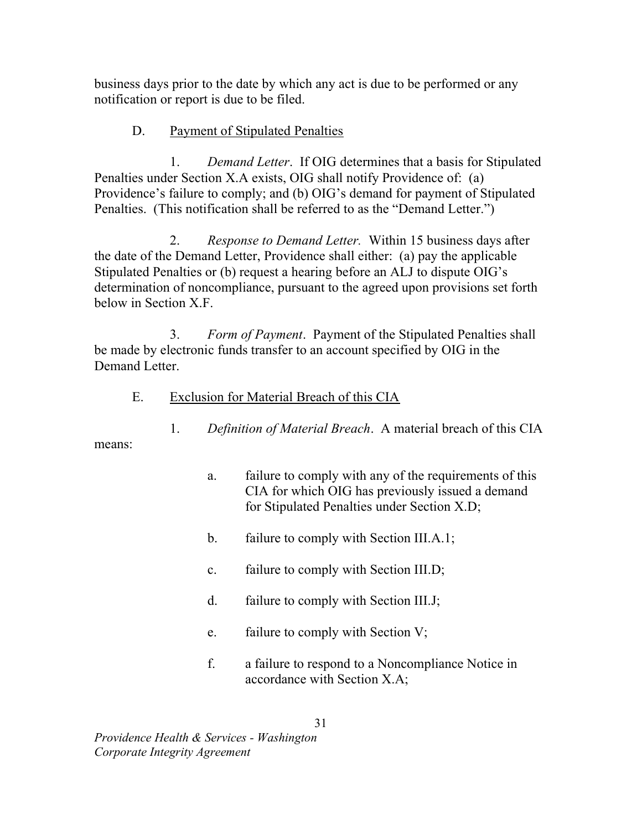business days prior to the date by which any act is due to be performed or any notification or report is due to be filed.

### D. Payment of Stipulated Penalties

 $1<sub>1</sub>$  Penalties under Section X.A exists, OIG shall notify Providence of: (a) Providence's failure to comply; and (b) OIG's demand for payment of Stipulated Penalties. (This notification shall be referred to as the "Demand Letter.") Demand Letter. If OIG determines that a basis for Stipulated

2. the date of the Demand Letter, Providence shall either: (a) pay the applicable Stipulated Penalties or (b) request a hearing before an ALJ to dispute OIG's determination of noncompliance, pursuant to the agreed upon provisions set forth below in Section X.F. *Response to Demand Letter.* Within 15 business days after

 $3<sub>1</sub>$  be made by electronic funds transfer to an account specified by OIG in the Demand Letter. Form of Payment. Payment of the Stipulated Penalties shall

 $E.$ Exclusion for Material Breach of this CIA

> 1. Definition of Material Breach. A material breach of this CIA

- means:
- a. failure to comply with any of the requirements of this CIA for which OIG has previously issued a demand for Stipulated Penalties under Section X.D;
- b. failure to comply with Section III.A.1;
- c. failure to comply with Section III.D;
- d. failure to comply with Section III.J;
- e. failure to comply with Section V;
- $f_{\cdot}$  accordance with Section X.A; a failure to respond to a Noncompliance Notice in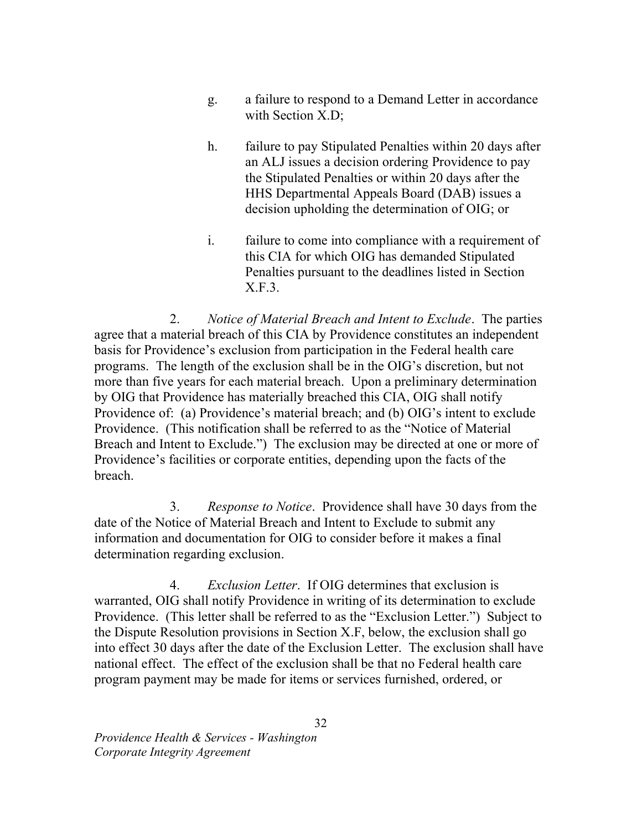- g. with Section X.D; a failure to respond to a Demand Letter in accordance
- $h_{\cdot}$  an ALJ issues a decision ordering Providence to pay the Stipulated Penalties or within 20 days after the HHS Departmental Appeals Board (DAB) issues a decision upholding the determination of OIG; or failure to pay Stipulated Penalties within 20 days after
- $\mathbf{i}$ . this CIA for which OIG has demanded Stipulated Penalties pursuant to the deadlines listed in Section failure to come into compliance with a requirement of X.F.3.

 $2<sub>1</sub>$  agree that a material breach of this CIA by Providence constitutes an independent basis for Providence's exclusion from participation in the Federal health care programs. The length of the exclusion shall be in the OIG's discretion, but not more than five years for each material breach. Upon a preliminary determination by OIG that Providence has materially breached this CIA, OIG shall notify Providence of: (a) Providence's material breach; and (b) OIG's intent to exclude Providence. (This notification shall be referred to as the "Notice of Material Breach and Intent to Exclude.") The exclusion may be directed at one or more of Providence's facilities or corporate entities, depending upon the facts of the 2. Notice of Material Breach and Intent to Exclude. The parties breach.

 $3.$  date of the Notice of Material Breach and Intent to Exclude to submit any information and documentation for OIG to consider before it makes a final determination regarding exclusion. Response to Notice. Providence shall have 30 days from the

 $\overline{4}$ . warranted, OIG shall notify Providence in writing of its determination to exclude Providence. (This letter shall be referred to as the "Exclusion Letter.") Subject to the Dispute Resolution provisions in Section X.F, below, the exclusion shall go into effect 30 days after the date of the Exclusion Letter. The exclusion shall have national effect. The effect of the exclusion shall be that no Federal health care program payment may be made for items or services furnished, ordered, or Exclusion Letter. If OIG determines that exclusion is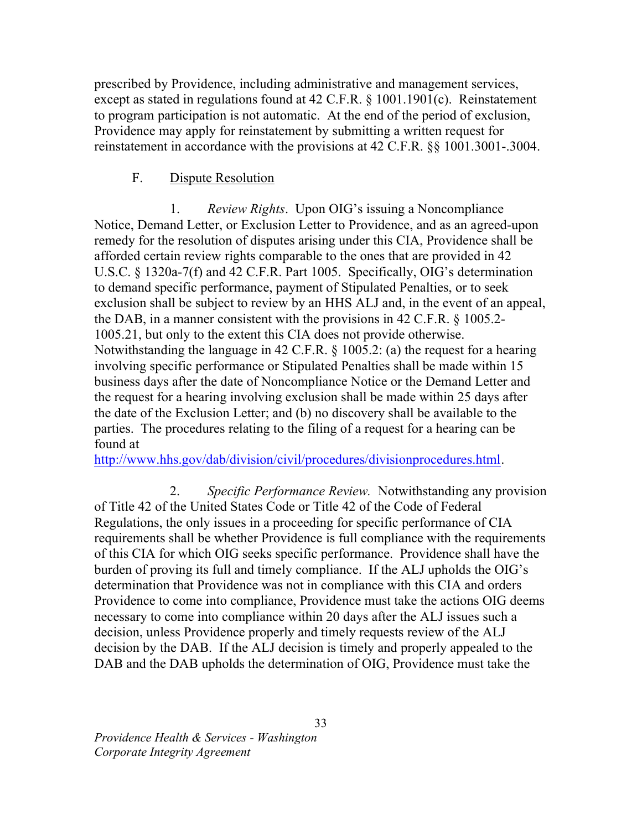prescribed by Providence, including administrative and management services, except as stated in regulations found at 42 C.F.R. § 1001.1901(c). Reinstatement to program participation is not automatic. At the end of the period of exclusion, Providence may apply for reinstatement by submitting a written request for reinstatement in accordance with the provisions at 42 C.F.R. §§ 1001.3001-.3004.

#### $F_{\cdot}$ Dispute Resolution

 $1.$  Notice, Demand Letter, or Exclusion Letter to Providence, and as an agreed-upon remedy for the resolution of disputes arising under this CIA, Providence shall be afforded certain review rights comparable to the ones that are provided in 42 U.S.C. § 1320a-7(f) and 42 C.F.R. Part 1005. Specifically, OIG's determination to demand specific performance, payment of Stipulated Penalties, or to seek exclusion shall be subject to review by an HHS ALJ and, in the event of an appeal, the DAB, in a manner consistent with the provisions in 42 C.F.R. § 1005.2- 1005.21, but only to the extent this CIA does not provide otherwise. Notwithstanding the language in 42 C.F.R. § 1005.2: (a) the request for a hearing involving specific performance or Stipulated Penalties shall be made within 15 business days after the date of Noncompliance Notice or the Demand Letter and the request for a hearing involving exclusion shall be made within 25 days after the date of the Exclusion Letter; and (b) no discovery shall be available to the parties. The procedures relating to the filing of a request for a hearing can be found at *Review Rights.* Upon OIG's issuing a Noncompliance

http://www.hhs.gov/dab/division/civil/procedures/divisionprocedures.html.

 of Title 42 of the United States Code or Title 42 of the Code of Federal Regulations, the only issues in a proceeding for specific performance of CIA requirements shall be whether Providence is full compliance with the requirements of this CIA for which OIG seeks specific performance. Providence shall have the burden of proving its full and timely compliance. If the ALJ upholds the OIG's determination that Providence was not in compliance with this CIA and orders Providence to come into compliance, Providence must take the actions OIG deems necessary to come into compliance within 20 days after the ALJ issues such a decision, unless Providence properly and timely requests review of the ALJ decision by the DAB. If the ALJ decision is timely and properly appealed to the DAB and the DAB upholds the determination of OIG, Providence must take the 2. Specific Performance Review. Notwithstanding any provision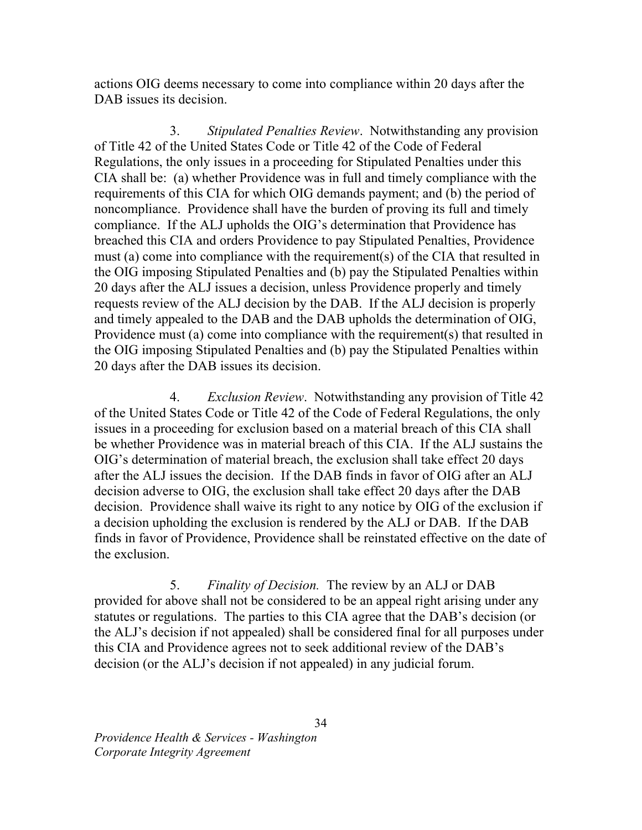actions OIG deems necessary to come into compliance within 20 days after the DAB issues its decision.

3. of Title 42 of the United States Code or Title 42 of the Code of Federal Regulations, the only issues in a proceeding for Stipulated Penalties under this CIA shall be: (a) whether Providence was in full and timely compliance with the requirements of this CIA for which OIG demands payment; and (b) the period of noncompliance. Providence shall have the burden of proving its full and timely compliance. If the ALJ upholds the OIG's determination that Providence has breached this CIA and orders Providence to pay Stipulated Penalties, Providence must (a) come into compliance with the requirement(s) of the CIA that resulted in the OIG imposing Stipulated Penalties and (b) pay the Stipulated Penalties within 20 days after the ALJ issues a decision, unless Providence properly and timely requests review of the ALJ decision by the DAB. If the ALJ decision is properly and timely appealed to the DAB and the DAB upholds the determination of OIG, Providence must (a) come into compliance with the requirement(s) that resulted in the OIG imposing Stipulated Penalties and (b) pay the Stipulated Penalties within 20 days after the DAB issues its decision. Stipulated Penalties Review. Notwithstanding any provision

 $4.$  of the United States Code or Title 42 of the Code of Federal Regulations, the only issues in a proceeding for exclusion based on a material breach of this CIA shall be whether Providence was in material breach of this CIA. If the ALJ sustains the OIG's determination of material breach, the exclusion shall take effect 20 days after the ALJ issues the decision. If the DAB finds in favor of OIG after an ALJ decision adverse to OIG, the exclusion shall take effect 20 days after the DAB decision. Providence shall waive its right to any notice by OIG of the exclusion if a decision upholding the exclusion is rendered by the ALJ or DAB. If the DAB finds in favor of Providence, Providence shall be reinstated effective on the date of the exclusion. Exclusion Review. Notwithstanding any provision of Title 42

 provided for above shall not be considered to be an appeal right arising under any statutes or regulations. The parties to this CIA agree that the DAB's decision (or the ALJ's decision if not appealed) shall be considered final for all purposes under this CIA and Providence agrees not to seek additional review of the DAB's decision (or the ALJ's decision if not appealed) in any judicial forum. 5. Finality of Decision. The review by an ALJ or DAB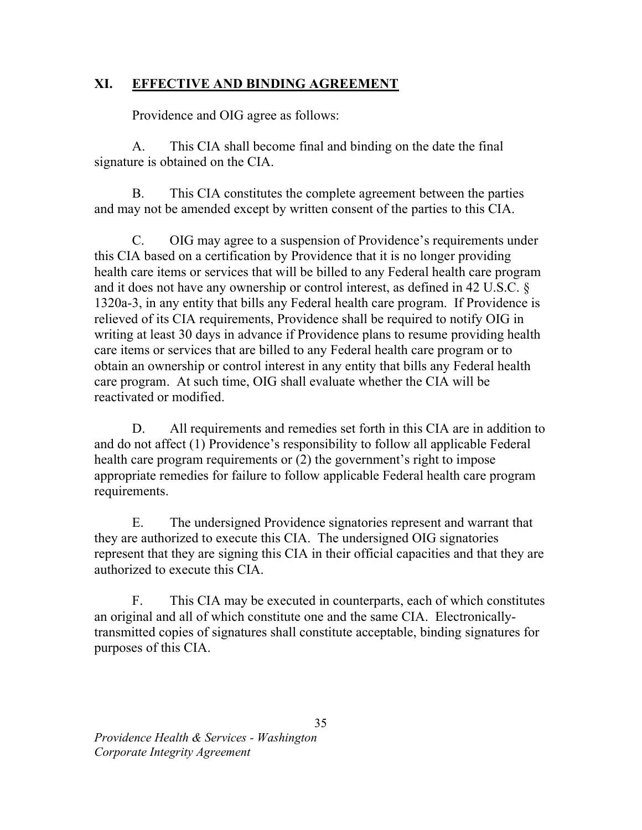## XI. EFFECTIVE AND BINDING AGREEMENT

Providence and OIG agree as follows:

 $A_{\cdot}$  signature is obtained on the CIA. This CIA shall become final and binding on the date the final

**B.**  and may not be amended except by written consent of the parties to this CIA. This CIA constitutes the complete agreement between the parties

 $C_{\cdot}$  this CIA based on a certification by Providence that it is no longer providing health care items or services that will be billed to any Federal health care program and it does not have any ownership or control interest, as defined in 42 U.S.C. § 1320a-3, in any entity that bills any Federal health care program. If Providence is relieved of its CIA requirements, Providence shall be required to notify OIG in writing at least 30 days in advance if Providence plans to resume providing health care items or services that are billed to any Federal health care program or to obtain an ownership or control interest in any entity that bills any Federal health care program. At such time, OIG shall evaluate whether the CIA will be reactivated or modified. OIG may agree to a suspension of Providence's requirements under

D. and do not affect (1) Providence's responsibility to follow all applicable Federal health care program requirements or (2) the government's right to impose appropriate remedies for failure to follow applicable Federal health care program requirements. All requirements and remedies set forth in this CIA are in addition to

 $E_{\rm c}$  they are authorized to execute this CIA. The undersigned OIG signatories represent that they are signing this CIA in their official capacities and that they are authorized to execute this CIA. The undersigned Providence signatories represent and warrant that

 $F_{\cdot}$  an original and all of which constitute one and the same CIA. Electronically- transmitted copies of signatures shall constitute acceptable, binding signatures for purposes of this CIA. This CIA may be executed in counterparts, each of which constitutes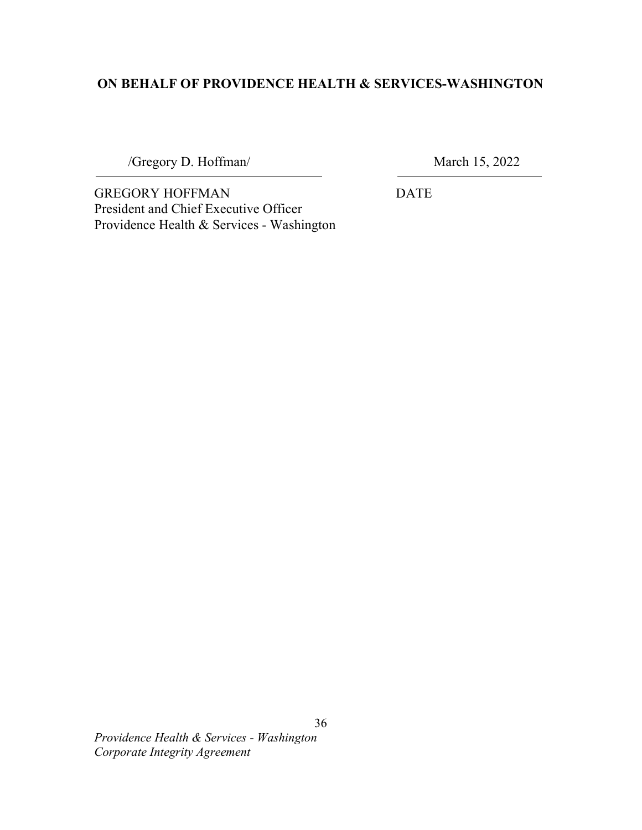## ON BEHALF OF PROVIDENCE HEALTH & SERVICES-WASHINGTON

/Gregory D. Hoffman/ March 15, 2022

j.

GREGORY HOFFMAN DATE President and Chief Executive Officer Providence Health & Services - Washington

 Providence Health & Services - Washington Corporate Integrity Agreement

36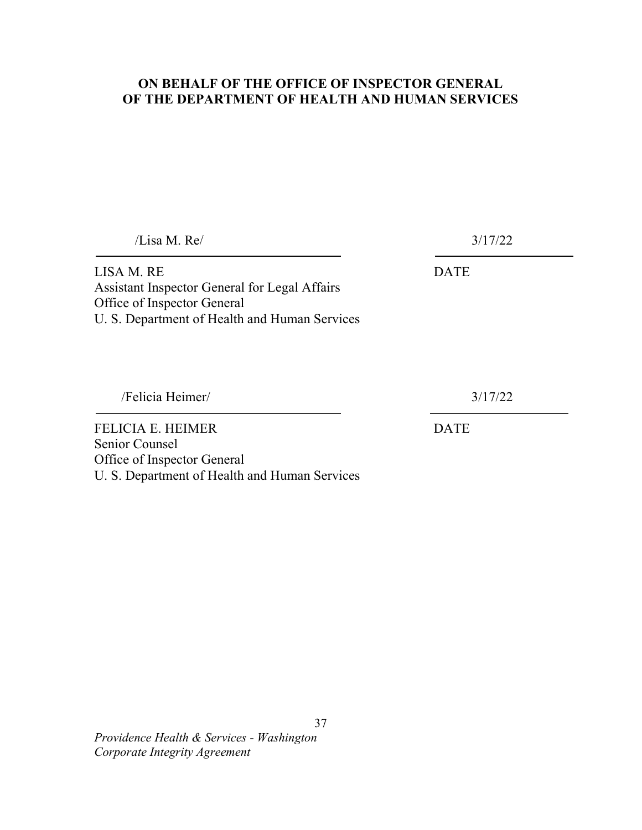### ON BEHALF OF THE OFFICE OF INSPECTOR GENERAL OF THE DEPARTMENT OF HEALTH AND HUMAN SERVICES

 $\overline{a}$ LISA M. RE DATE Assistant Inspector General for Legal Affairs Office of Inspector General U. S. Department of Health and Human Services FELICIA E. HEIMER DATE Senior Counsel /Lisa M. Re/ 3/17/22 /Felicia Heimer/ 3/17/22

Office of Inspector General

U. S. Department of Health and Human Services

37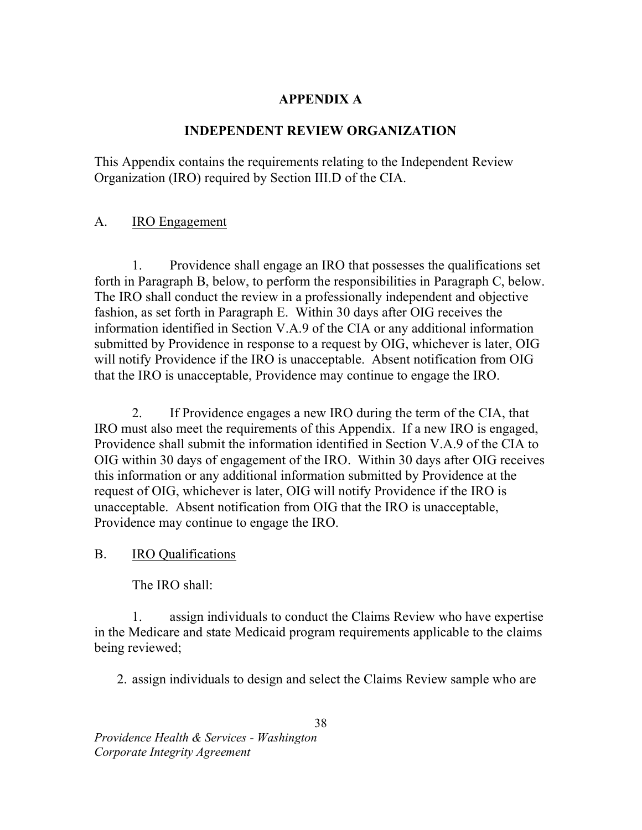# APPENDIX A

## INDEPENDENT REVIEW ORGANIZATION

 This Appendix contains the requirements relating to the Independent Review Organization (IRO) required by Section III.D of the CIA.

#### A. **IRO Engagement**

 1. Providence shall engage an IRO that possesses the qualifications set forth in Paragraph B, below, to perform the responsibilities in Paragraph C, below. The IRO shall conduct the review in a professionally independent and objective fashion, as set forth in Paragraph E. Within 30 days after OIG receives the information identified in Section V.A.9 of the CIA or any additional information submitted by Providence in response to a request by OIG, whichever is later, OIG will notify Providence if the IRO is unacceptable. Absent notification from OIG that the IRO is unacceptable, Providence may continue to engage the IRO.

2. IRO must also meet the requirements of this Appendix. If a new IRO is engaged, Providence shall submit the information identified in Section V.A.9 of the CIA to OIG within 30 days of engagement of the IRO. Within 30 days after OIG receives this information or any additional information submitted by Providence at the request of OIG, whichever is later, OIG will notify Providence if the IRO is unacceptable. Absent notification from OIG that the IRO is unacceptable, Providence may continue to engage the IRO. If Providence engages a new IRO during the term of the CIA, that

 $\mathbf{B}$ . IRO Qualifications

The IRO shall:

1. in the Medicare and state Medicaid program requirements applicable to the claims being reviewed; assign individuals to conduct the Claims Review who have expertise

2. assign individuals to design and select the Claims Review sample who are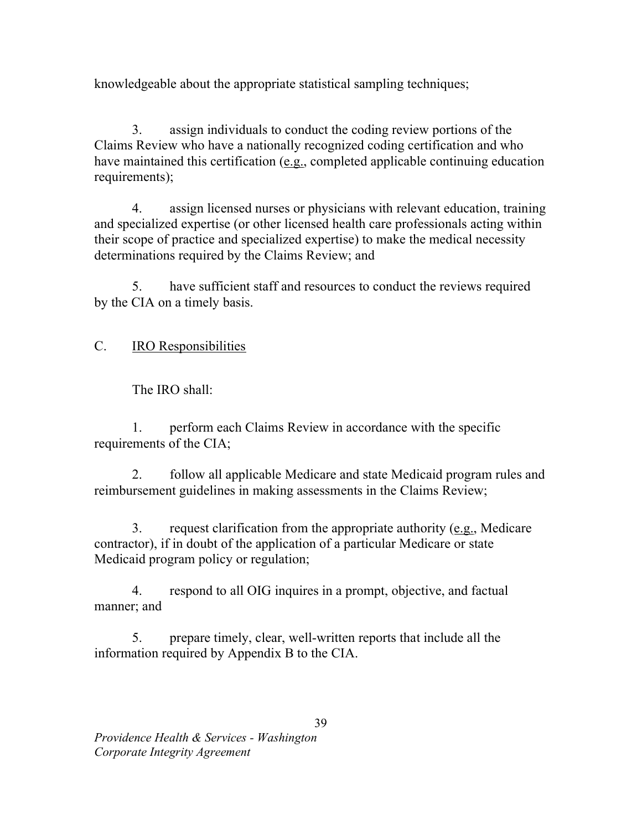knowledgeable about the appropriate statistical sampling techniques;

3. Claims Review who have a nationally recognized coding certification and who have maintained this certification (e.g., completed applicable continuing education requirements); assign individuals to conduct the coding review portions of the

 $\overline{4}$ . and specialized expertise (or other licensed health care professionals acting within their scope of practice and specialized expertise) to make the medical necessity determinations required by the Claims Review; and assign licensed nurses or physicians with relevant education, training

5. by the CIA on a timely basis. have sufficient staff and resources to conduct the reviews required

 $C_{\cdot}$ IRO Responsibilities

The IRO shall:

 1. perform each Claims Review in accordance with the specific requirements of the CIA;

 $2^{1}$  reimbursement guidelines in making assessments in the Claims Review; 2. follow all applicable Medicare and state Medicaid program rules and

 $\mathcal{E}$  contractor), if in doubt of the application of a particular Medicare or state Medicaid program policy or regulation; 3. request clarification from the appropriate authority (e.g., Medicare

 $\mathbf{4}$ . manner; and respond to all OIG inquires in a prompt, objective, and factual

5. information required by Appendix B to the CIA. prepare timely, clear, well-written reports that include all the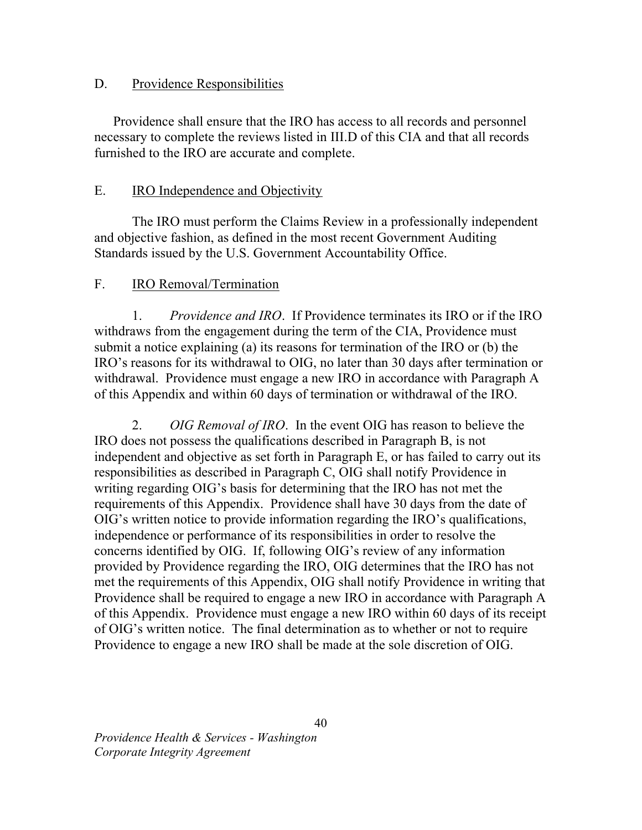## D. Providence Responsibilities

 Providence shall ensure that the IRO has access to all records and personnel necessary to complete the reviews listed in III.D of this CIA and that all records furnished to the IRO are accurate and complete.

#### E. IRO Independence and Objectivity

 The IRO must perform the Claims Review in a professionally independent and objective fashion, as defined in the most recent Government Auditing Standards issued by the U.S. Government Accountability Office.

#### $F_{\perp}$ IRO Removal/Termination

1. Providence and IRO. If Providence terminates its IRO or if the IRO withdraws from the engagement during the term of the CIA, Providence must submit a notice explaining (a) its reasons for termination of the IRO or (b) the IRO's reasons for its withdrawal to OIG, no later than 30 days after termination or withdrawal. Providence must engage a new IRO in accordance with Paragraph A of this Appendix and within 60 days of termination or withdrawal of the IRO.

2. OIG Removal of IRO. In the event OIG has reason to believe the IRO does not possess the qualifications described in Paragraph B, is not independent and objective as set forth in Paragraph E, or has failed to carry out its responsibilities as described in Paragraph C, OIG shall notify Providence in writing regarding OIG's basis for determining that the IRO has not met the requirements of this Appendix. Providence shall have 30 days from the date of OIG's written notice to provide information regarding the IRO's qualifications, independence or performance of its responsibilities in order to resolve the concerns identified by OIG. If, following OIG's review of any information provided by Providence regarding the IRO, OIG determines that the IRO has not met the requirements of this Appendix, OIG shall notify Providence in writing that Providence shall be required to engage a new IRO in accordance with Paragraph A of this Appendix. Providence must engage a new IRO within 60 days of its receipt of OIG's written notice. The final determination as to whether or not to require Providence to engage a new IRO shall be made at the sole discretion of OIG.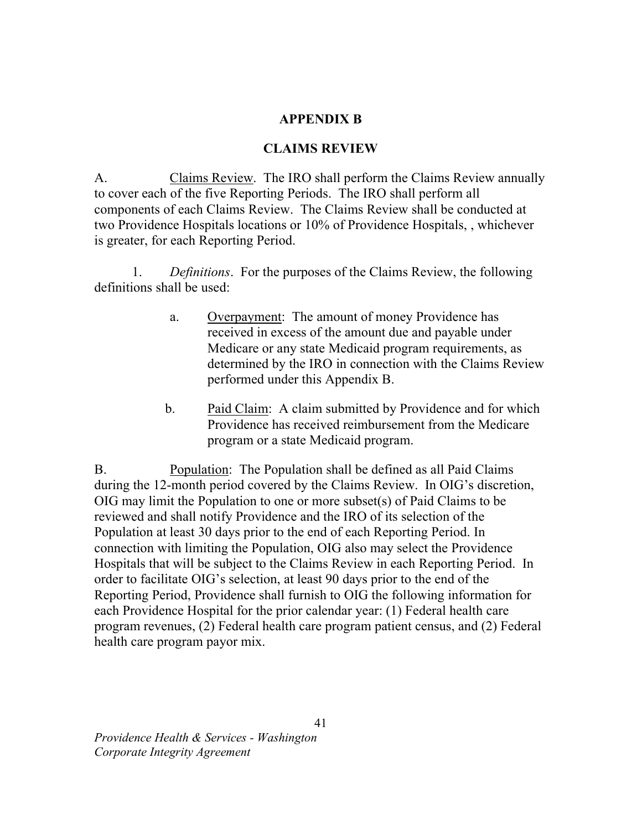### APPENDIX B

### CLAIMS REVIEW

A. Claims Review. The IRO shall perform the Claims Review annually to cover each of the five Reporting Periods. The IRO shall perform all components of each Claims Review. The Claims Review shall be conducted at two Providence Hospitals locations or 10% of Providence Hospitals, , whichever is greater, for each Reporting Period.

1. Definitions. For the purposes of the Claims Review, the following definitions shall be used:

- a. Overpayment: The amount of money Providence has received in excess of the amount due and payable under Medicare or any state Medicaid program requirements, as determined by the IRO in connection with the Claims Review performed under this Appendix B.
- $\mathbf{b}$ . Providence has received reimbursement from the Medicare program or a state Medicaid program. Paid Claim: A claim submitted by Providence and for which

B. Population: The Population shall be defined as all Paid Claims during the 12-month period covered by the Claims Review. In OIG's discretion, OIG may limit the Population to one or more subset(s) of Paid Claims to be reviewed and shall notify Providence and the IRO of its selection of the Population at least 30 days prior to the end of each Reporting Period. In connection with limiting the Population, OIG also may select the Providence Hospitals that will be subject to the Claims Review in each Reporting Period. In order to facilitate OIG's selection, at least 90 days prior to the end of the Reporting Period, Providence shall furnish to OIG the following information for each Providence Hospital for the prior calendar year: (1) Federal health care program revenues, (2) Federal health care program patient census, and (2) Federal health care program payor mix.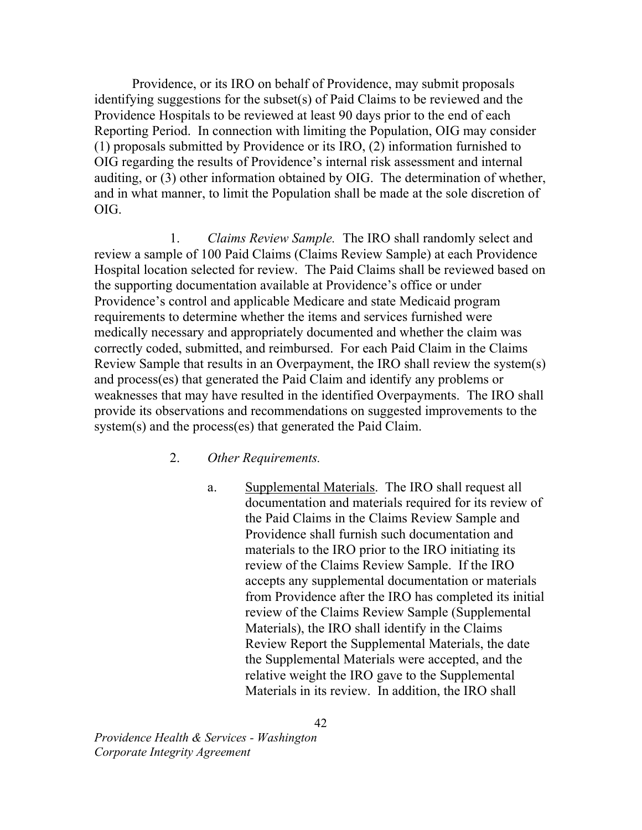Providence, or its IRO on behalf of Providence, may submit proposals identifying suggestions for the subset(s) of Paid Claims to be reviewed and the Providence Hospitals to be reviewed at least 90 days prior to the end of each Reporting Period. In connection with limiting the Population, OIG may consider (1) proposals submitted by Providence or its IRO, (2) information furnished to OIG regarding the results of Providence's internal risk assessment and internal auditing, or (3) other information obtained by OIG. The determination of whether, and in what manner, to limit the Population shall be made at the sole discretion of OIG.

 1. Claims Review Sample. The IRO shall randomly select and review a sample of 100 Paid Claims (Claims Review Sample) at each Providence Hospital location selected for review. The Paid Claims shall be reviewed based on the supporting documentation available at Providence's office or under Providence's control and applicable Medicare and state Medicaid program requirements to determine whether the items and services furnished were medically necessary and appropriately documented and whether the claim was correctly coded, submitted, and reimbursed. For each Paid Claim in the Claims Review Sample that results in an Overpayment, the IRO shall review the system(s) and process(es) that generated the Paid Claim and identify any problems or weaknesses that may have resulted in the identified Overpayments. The IRO shall provide its observations and recommendations on suggested improvements to the system(s) and the process(es) that generated the Paid Claim.

- 2. Other Requirements.
	- a. Supplemental Materials. The IRO shall request all documentation and materials required for its review of the Paid Claims in the Claims Review Sample and Providence shall furnish such documentation and materials to the IRO prior to the IRO initiating its review of the Claims Review Sample. If the IRO accepts any supplemental documentation or materials from Providence after the IRO has completed its initial review of the Claims Review Sample (Supplemental Materials), the IRO shall identify in the Claims Review Report the Supplemental Materials, the date the Supplemental Materials were accepted, and the relative weight the IRO gave to the Supplemental Materials in its review. In addition, the IRO shall

 Providence Health & Services - Washington Corporate Integrity Agreement

42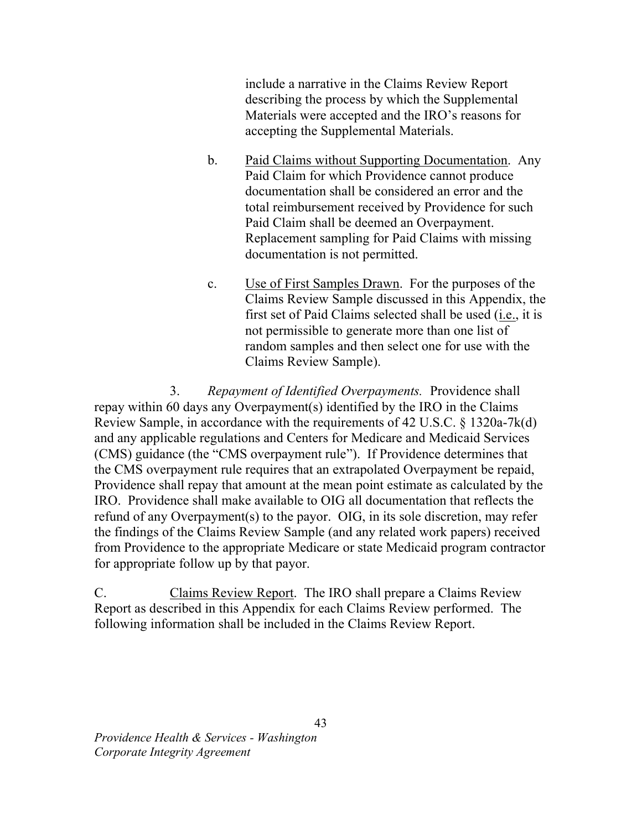include a narrative in the Claims Review Report describing the process by which the Supplemental Materials were accepted and the IRO's reasons for accepting the Supplemental Materials.

- $<sub>b</sub>$ .</sub> Paid Claim for which Providence cannot produce documentation shall be considered an error and the total reimbursement received by Providence for such Paid Claim shall be deemed an Overpayment. Replacement sampling for Paid Claims with missing documentation is not permitted. Paid Claims without Supporting Documentation. Any
- $\mathbf{c}$ . Claims Review Sample discussed in this Appendix, the first set of Paid Claims selected shall be used (*i.e.*, it is not permissible to generate more than one list of random samples and then select one for use with the Claims Review Sample). Use of First Samples Drawn. For the purposes of the

3. Repayment of Identified Overpayments. Providence shall repay within 60 days any Overpayment(s) identified by the IRO in the Claims Review Sample, in accordance with the requirements of 42 U.S.C. § 1320a-7k(d) and any applicable regulations and Centers for Medicare and Medicaid Services (CMS) guidance (the "CMS overpayment rule"). If Providence determines that the CMS overpayment rule requires that an extrapolated Overpayment be repaid, Providence shall repay that amount at the mean point estimate as calculated by the IRO. Providence shall make available to OIG all documentation that reflects the refund of any Overpayment(s) to the payor. OIG, in its sole discretion, may refer the findings of the Claims Review Sample (and any related work papers) received from Providence to the appropriate Medicare or state Medicaid program contractor for appropriate follow up by that payor.

C. Claims Review Report. The IRO shall prepare a Claims Review Report as described in this Appendix for each Claims Review performed. The following information shall be included in the Claims Review Report.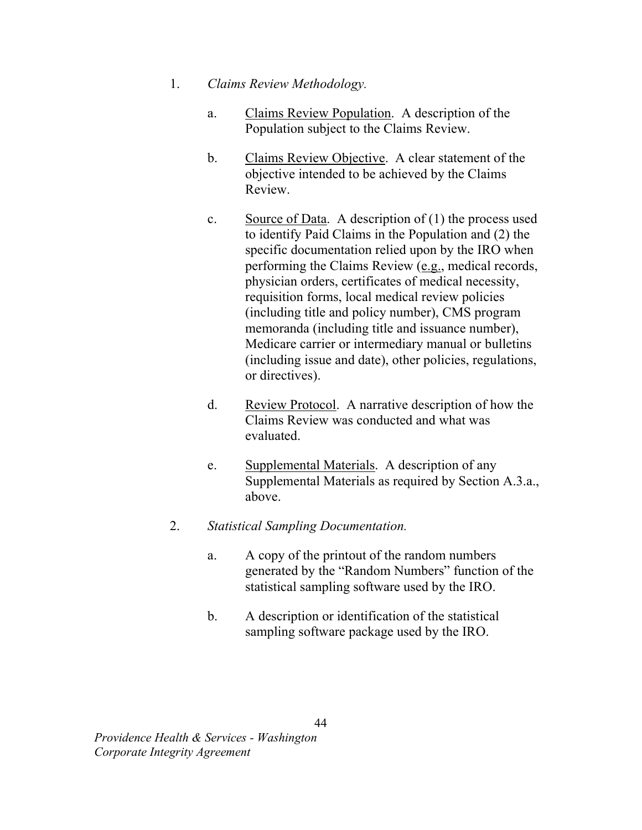- 1. Claims Review Methodology.
	- a. Population subject to the Claims Review. Claims Review Population. A description of the
	- $\mathbf{b}$ . objective intended to be achieved by the Claims Claims Review Objective. A clear statement of the Review.
	- $\mathbf{c}$ . to identify Paid Claims in the Population and (2) the specific documentation relied upon by the IRO when performing the Claims Review (e.g., medical records, physician orders, certificates of medical necessity, requisition forms, local medical review policies (including title and policy number), CMS program memoranda (including title and issuance number), Medicare carrier or intermediary manual or bulletins (including issue and date), other policies, regulations, or directives). Source of Data. A description of  $(1)$  the process used
	- $d_{\cdot}$  Claims Review was conducted and what was Review Protocol. A narrative description of how the evaluated.
	- e. Supplemental Materials. A description of any Supplemental Materials as required by Section A.3.a., above.
- 2. Statistical Sampling Documentation.
	- $a<sub>z</sub>$  generated by the "Random Numbers" function of the statistical sampling software used by the IRO. A copy of the printout of the random numbers
	- $\mathbf{b}$ . sampling software package used by the IRO. A description or identification of the statistical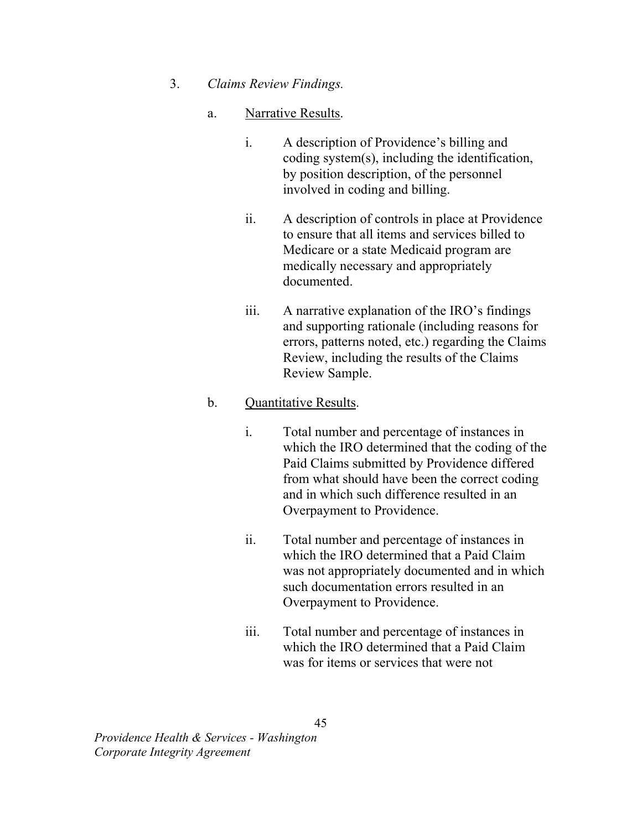## 3. Claims Review Findings.

### a. Narrative Results.

- i. A description of Providence's billing and coding system(s), including the identification, by position description, of the personnel involved in coding and billing.
- ii. A description of controls in place at Providence to ensure that all items and services billed to Medicare or a state Medicaid program are medically necessary and appropriately documented.
- iii. A narrative explanation of the IRO's findings and supporting rationale (including reasons for errors, patterns noted, etc.) regarding the Claims Review, including the results of the Claims Review Sample.

## b. Quantitative Results.

- i. Total number and percentage of instances in which the IRO determined that the coding of the Paid Claims submitted by Providence differed from what should have been the correct coding and in which such difference resulted in an Overpayment to Providence.
- ii. Total number and percentage of instances in which the IRO determined that a Paid Claim was not appropriately documented and in which such documentation errors resulted in an Overpayment to Providence.
- iii. Total number and percentage of instances in which the IRO determined that a Paid Claim was for items or services that were not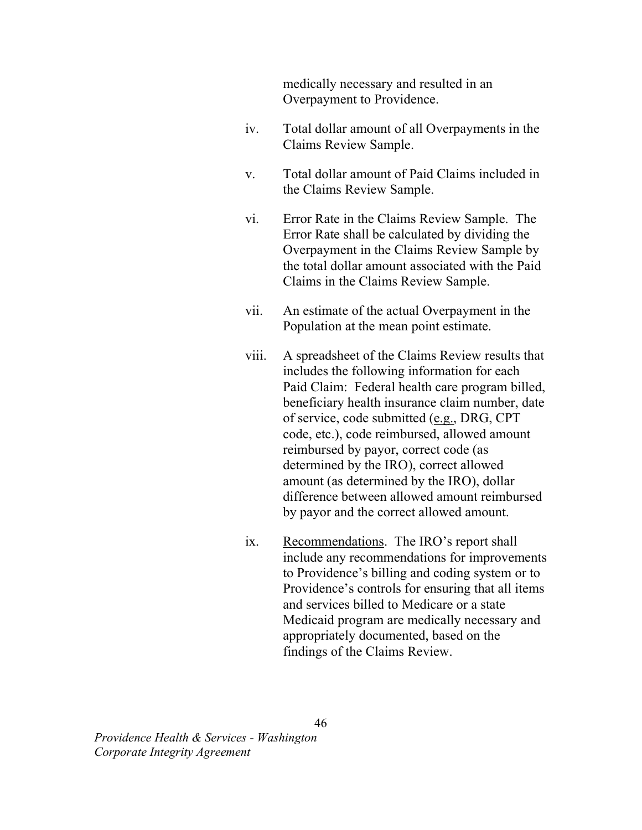medically necessary and resulted in an Overpayment to Providence.

- Total dollar amount of all Overpayments in the Claims Review Sample. iv.
- Total dollar amount of Paid Claims included in the Claims Review Sample. v.
- Error Rate in the Claims Review Sample. The Error Rate shall be calculated by dividing the Overpayment in the Claims Review Sample by the total dollar amount associated with the Paid Claims in the Claims Review Sample. vi.
- An estimate of the actual Overpayment in the Population at the mean point estimate. vii.
- A spreadsheet of the Claims Review results that includes the following information for each Paid Claim: Federal health care program billed, beneficiary health insurance claim number, date of service, code submitted (e.g., DRG, CPT code, etc.), code reimbursed, allowed amount reimbursed by payor, correct code (as determined by the IRO), correct allowed amount (as determined by the IRO), dollar difference between allowed amount reimbursed by payor and the correct allowed amount. viii.
- Recommendations. The IRO's report shall include any recommendations for improvements to Providence's billing and coding system or to Providence's controls for ensuring that all items and services billed to Medicare or a state Medicaid program are medically necessary and appropriately documented, based on the findings of the Claims Review. ix.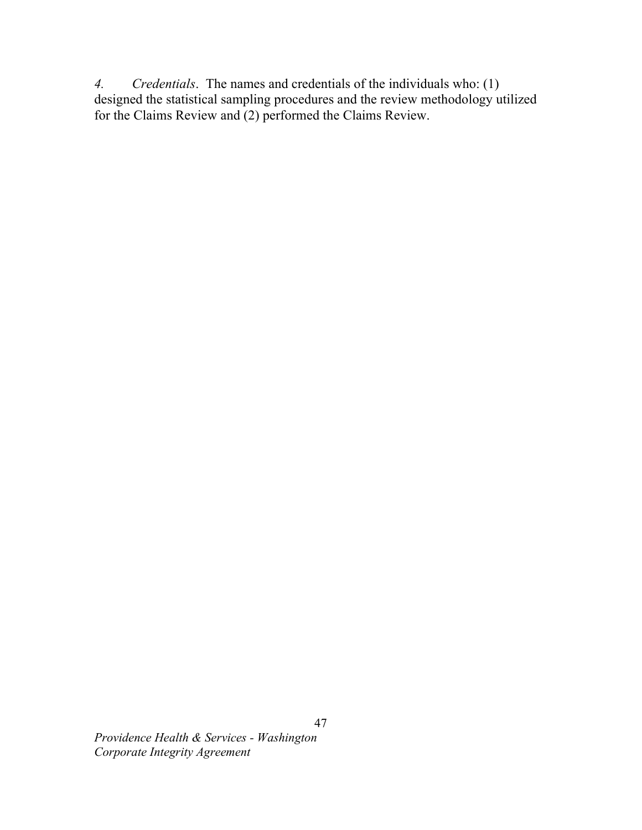4. Credentials. The names and credentials of the individuals who: (1) designed the statistical sampling procedures and the review methodology utilized for the Claims Review and (2) performed the Claims Review.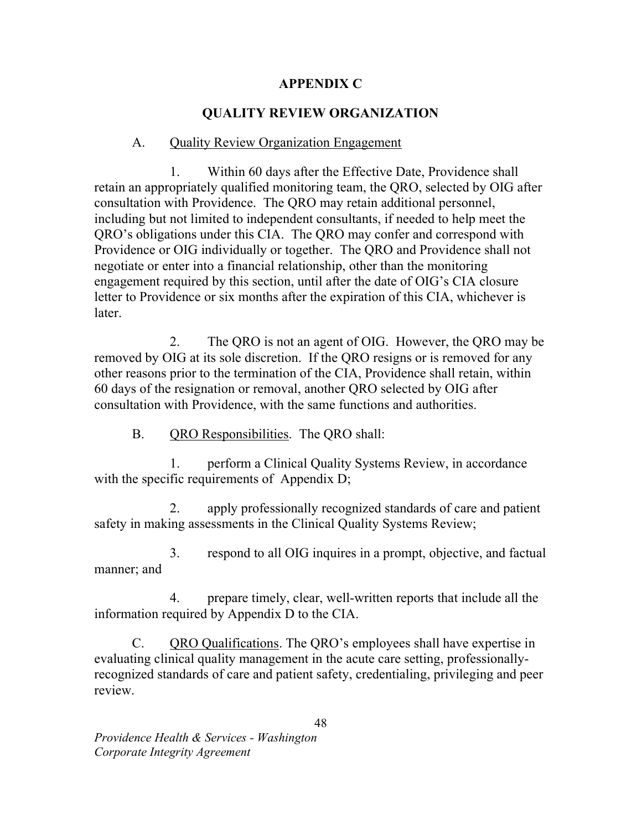## APPENDIX C

# QUALITY REVIEW ORGANIZATION

## A. Quality Review Organization Engagement

 1. Within 60 days after the Effective Date, Providence shall retain an appropriately qualified monitoring team, the QRO, selected by OIG after consultation with Providence. The QRO may retain additional personnel, including but not limited to independent consultants, if needed to help meet the QRO's obligations under this CIA. The QRO may confer and correspond with Providence or OIG individually or together. The QRO and Providence shall not negotiate or enter into a financial relationship, other than the monitoring engagement required by this section, until after the date of OIG's CIA closure letter to Providence or six months after the expiration of this CIA, whichever is later.

 2. The QRO is not an agent of OIG. However, the QRO may be removed by OIG at its sole discretion. If the QRO resigns or is removed for any other reasons prior to the termination of the CIA, Providence shall retain, within 60 days of the resignation or removal, another QRO selected by OIG after consultation with Providence, with the same functions and authorities.

B. QRO Responsibilities. The QRO shall:

 1. perform a Clinical Quality Systems Review, in accordance with the specific requirements of Appendix D;

 2. apply professionally recognized standards of care and patient safety in making assessments in the Clinical Quality Systems Review;

 3. respond to all OIG inquires in a prompt, objective, and factual manner; and

 4. prepare timely, clear, well-written reports that include all the information required by Appendix D to the CIA.

C. QRO Qualifications. The QRO's employees shall have expertise in evaluating clinical quality management in the acute care setting, professionally- recognized standards of care and patient safety, credentialing, privileging and peer review.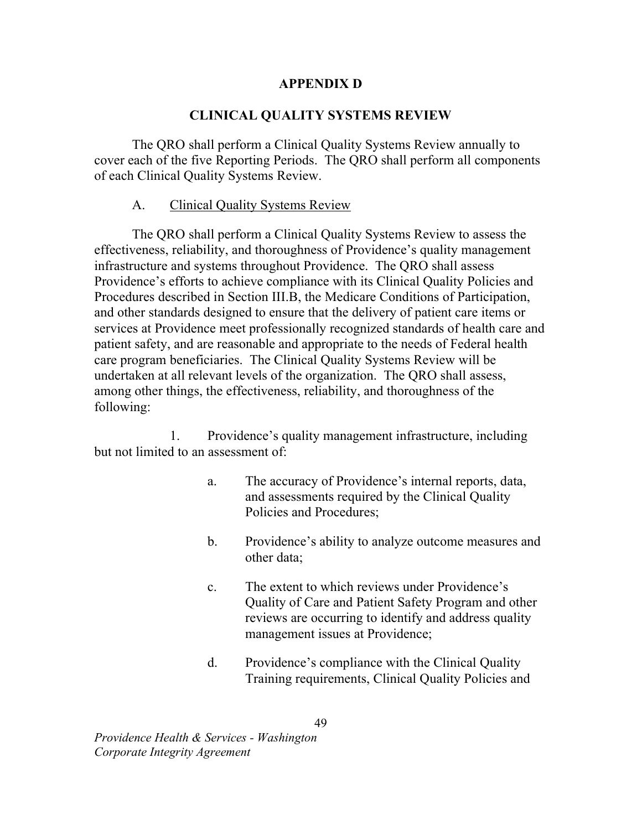## APPENDIX D

## CLINICAL QUALITY SYSTEMS REVIEW

 The QRO shall perform a Clinical Quality Systems Review annually to cover each of the five Reporting Periods. The QRO shall perform all components of each Clinical Quality Systems Review.

### A. Clinical Quality Systems Review

 The QRO shall perform a Clinical Quality Systems Review to assess the effectiveness, reliability, and thoroughness of Providence's quality management infrastructure and systems throughout Providence. The QRO shall assess Providence's efforts to achieve compliance with its Clinical Quality Policies and Procedures described in Section III.B, the Medicare Conditions of Participation, and other standards designed to ensure that the delivery of patient care items or services at Providence meet professionally recognized standards of health care and patient safety, and are reasonable and appropriate to the needs of Federal health care program beneficiaries. The Clinical Quality Systems Review will be undertaken at all relevant levels of the organization. The QRO shall assess, among other things, the effectiveness, reliability, and thoroughness of the following:

 1. Providence's quality management infrastructure, including but not limited to an assessment of:

- a. The accuracy of Providence's internal reports, data, and assessments required by the Clinical Quality Policies and Procedures;
- b. Providence's ability to analyze outcome measures and other data;
- c. The extent to which reviews under Providence's Quality of Care and Patient Safety Program and other reviews are occurring to identify and address quality management issues at Providence;
- d. Providence's compliance with the Clinical Quality Training requirements, Clinical Quality Policies and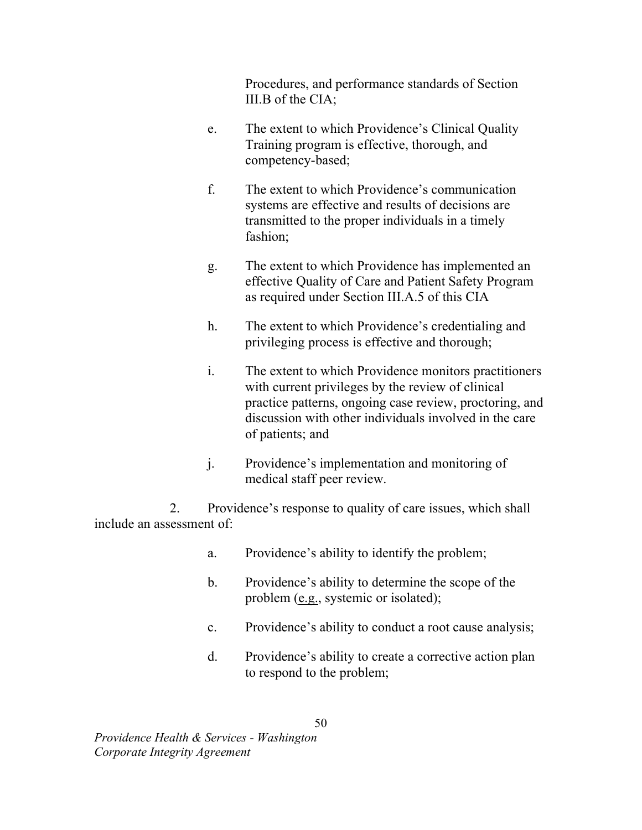Procedures, and performance standards of Section III.B of the CIA;

- e. The extent to which Providence's Clinical Quality Training program is effective, thorough, and competency-based;
- f. The extent to which Providence's communication systems are effective and results of decisions are transmitted to the proper individuals in a timely fashion;
- g. The extent to which Providence has implemented an effective Quality of Care and Patient Safety Program as required under Section III.A.5 of this CIA
- h. The extent to which Providence's credentialing and privileging process is effective and thorough;
- i. The extent to which Providence monitors practitioners with current privileges by the review of clinical practice patterns, ongoing case review, proctoring, and discussion with other individuals involved in the care of patients; and
- j. Providence's implementation and monitoring of medical staff peer review.

 2. Providence's response to quality of care issues, which shall include an assessment of:

- a. Providence's ability to identify the problem;
- b. Providence's ability to determine the scope of the problem (e.g., systemic or isolated);
- c. Providence's ability to conduct a root cause analysis;
- d. Providence's ability to create a corrective action plan to respond to the problem;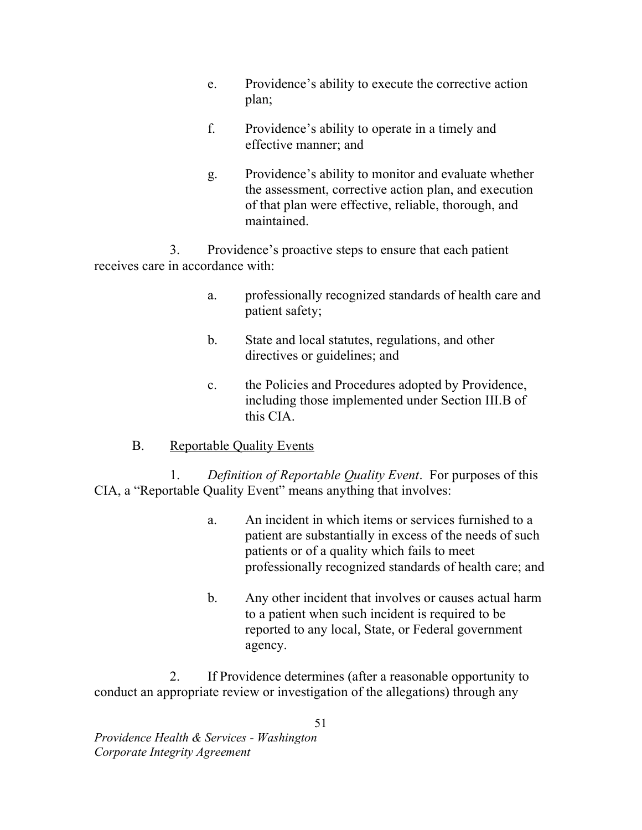- e. Providence's ability to execute the corrective action plan;
- plan;<br>f. Providence's ability to operate in a timely and effective manner; and
- g. Providence's ability to monitor and evaluate whether the assessment, corrective action plan, and execution of that plan were effective, reliable, thorough, and maintained.

 3. Providence's proactive steps to ensure that each patient receives care in accordance with:

- a. professionally recognized standards of health care and patient safety;
- b. State and local statutes, regulations, and other directives or guidelines; and
- c. the Policies and Procedures adopted by Providence, including those implemented under Section III.B of this CIA.
- B. Reportable Quality Events

1. Definition of Reportable Quality Event. For purposes of this CIA, a "Reportable Quality Event" means anything that involves:

- a. An incident in which items or services furnished to a patient are substantially in excess of the needs of such patients or of a quality which fails to meet professionally recognized standards of health care; and
- b. Any other incident that involves or causes actual harm to a patient when such incident is required to be reported to any local, State, or Federal government agency.

 2. If Providence determines (after a reasonable opportunity to conduct an appropriate review or investigation of the allegations) through any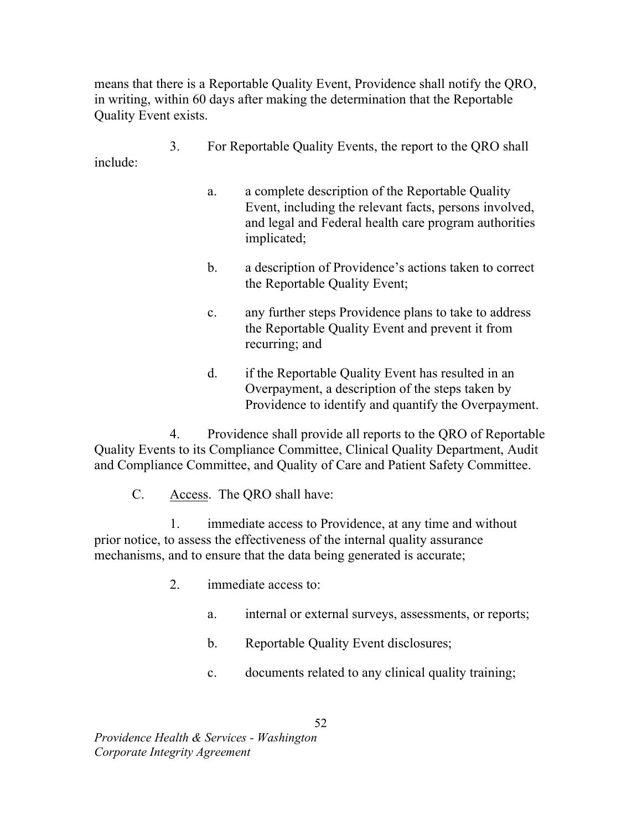means that there is a Reportable Quality Event, Providence shall notify the QRO, in writing, within 60 days after making the determination that the Reportable Quality Event exists.

- 3. For Reportable Quality Events, the report to the QRO shall include:
	- a. a complete description of the Reportable Quality Event, including the relevant facts, persons involved, and legal and Federal health care program authorities implicated;
	- b. a description of Providence's actions taken to correct the Reportable Quality Event;
	- c. any further steps Providence plans to take to address the Reportable Quality Event and prevent it from recurring; and
	- d. if the Reportable Quality Event has resulted in an Overpayment, a description of the steps taken by Providence to identify and quantify the Overpayment.

 4. Providence shall provide all reports to the QRO of Reportable Quality Events to its Compliance Committee, Clinical Quality Department, Audit and Compliance Committee, and Quality of Care and Patient Safety Committee.

C. Access. The QRO shall have:

 1. immediate access to Providence, at any time and without prior notice, to assess the effectiveness of the internal quality assurance mechanisms, and to ensure that the data being generated is accurate;

- 2. immediate access to:
	- a. internal or external surveys, assessments, or reports;
	- b. Reportable Quality Event disclosures;
	- c. documents related to any clinical quality training;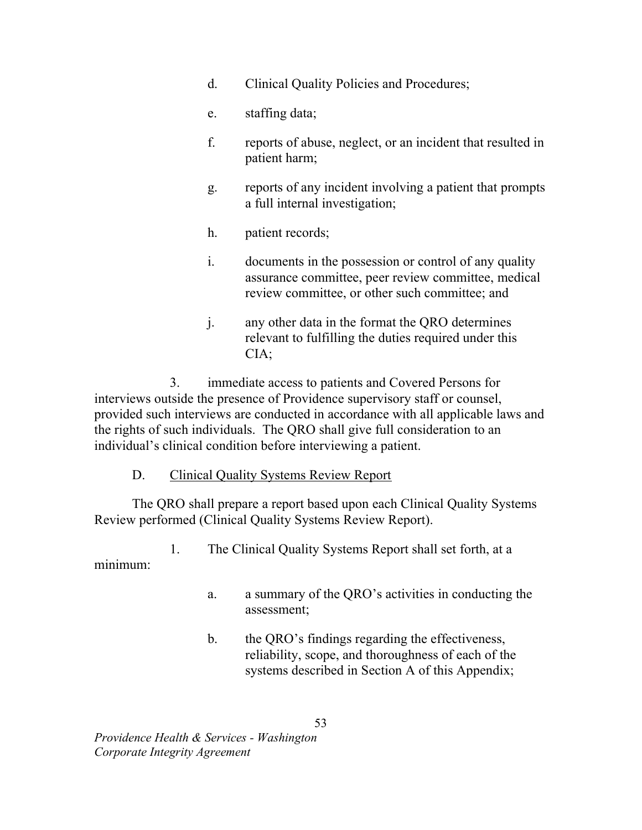- d. Clinical Quality Policies and Procedures;
- e. staffing data;
- f. reports of abuse, neglect, or an incident that resulted in patient harm;
- g. reports of any incident involving a patient that prompts a full internal investigation;
- h. patient records;
- i. documents in the possession or control of any quality assurance committee, peer review committee, medical review committee, or other such committee; and
- j. any other data in the format the QRO determines relevant to fulfilling the duties required under this  $CIA:$

CIA;<br>3. immediate access to patients and Covered Persons for interviews outside the presence of Providence supervisory staff or counsel, provided such interviews are conducted in accordance with all applicable laws and the rights of such individuals. The QRO shall give full consideration to an individual's clinical condition before interviewing a patient.

## D. Clinical Quality Systems Review Report

 The QRO shall prepare a report based upon each Clinical Quality Systems Review performed (Clinical Quality Systems Review Report).

1. The Clinical Quality Systems Report shall set forth, at a

minimum:

- a. a summary of the QRO's activities in conducting the assessment;
- b. the QRO's findings regarding the effectiveness, reliability, scope, and thoroughness of each of the systems described in Section A of this Appendix;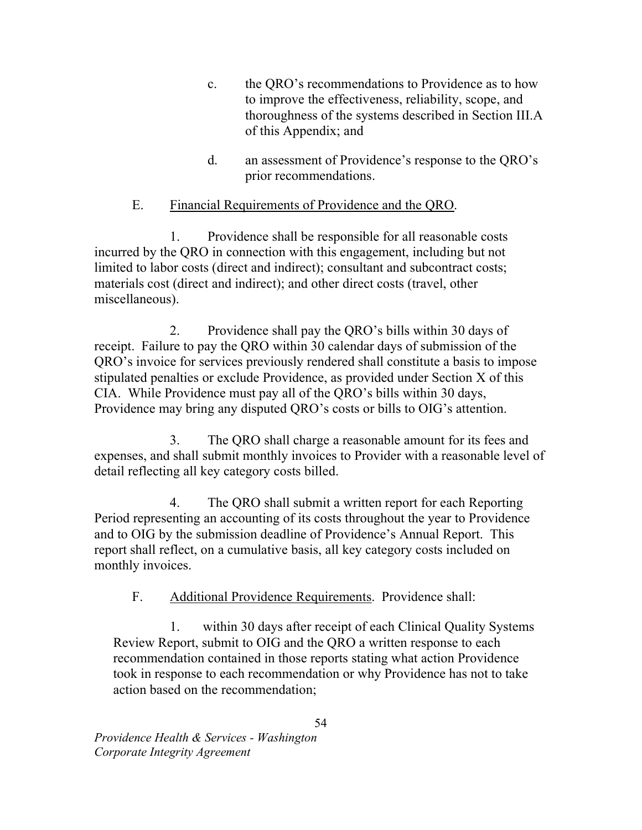- c. the QRO's recommendations to Providence as to how to improve the effectiveness, reliability, scope, and thoroughness of the systems described in Section III.A of this Appendix; and
- d. an assessment of Providence's response to the QRO's prior recommendations.

#### Ε. Financial Requirements of Providence and the QRO.

 1. Providence shall be responsible for all reasonable costs incurred by the QRO in connection with this engagement, including but not limited to labor costs (direct and indirect); consultant and subcontract costs; materials cost (direct and indirect); and other direct costs (travel, other miscellaneous).

miscellaneous).<br>2. Providence shall pay the QRO's bills within 30 days of receipt. Failure to pay the QRO within 30 calendar days of submission of the QRO's invoice for services previously rendered shall constitute a basis to impose stipulated penalties or exclude Providence, as provided under Section X of this CIA. While Providence must pay all of the QRO's bills within 30 days, Providence may bring any disputed QRO's costs or bills to OIG's attention.

 3. The QRO shall charge a reasonable amount for its fees and expenses, and shall submit monthly invoices to Provider with a reasonable level of detail reflecting all key category costs billed.

 4. The QRO shall submit a written report for each Reporting Period representing an accounting of its costs throughout the year to Providence and to OIG by the submission deadline of Providence's Annual Report. This report shall reflect, on a cumulative basis, all key category costs included on monthly invoices.

F. Additional Providence Requirements. Providence shall:

 1. within 30 days after receipt of each Clinical Quality Systems Review Report, submit to OIG and the QRO a written response to each recommendation contained in those reports stating what action Providence took in response to each recommendation or why Providence has not to take action based on the recommendation;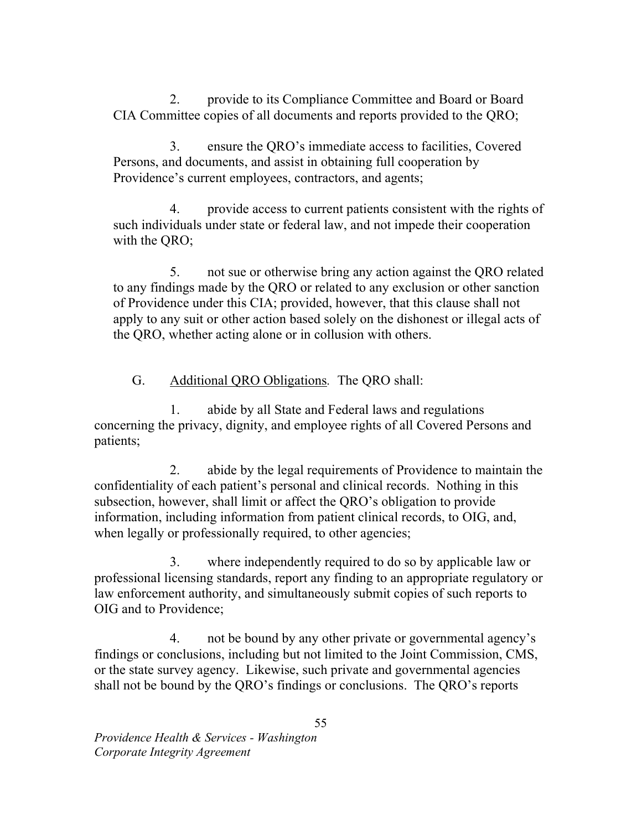2. provide to its Compliance Committee and Board or Board CIA Committee copies of all documents and reports provided to the QRO;

 3. ensure the QRO's immediate access to facilities, Covered Persons, and documents, and assist in obtaining full cooperation by Providence's current employees, contractors, and agents;

 4. provide access to current patients consistent with the rights of such individuals under state or federal law, and not impede their cooperation with the QRO;

 5. not sue or otherwise bring any action against the QRO related to any findings made by the QRO or related to any exclusion or other sanction of Providence under this CIA; provided, however, that this clause shall not apply to any suit or other action based solely on the dishonest or illegal acts of the QRO, whether acting alone or in collusion with others.

G. Additional QRO Obligations. The QRO shall:

 1. abide by all State and Federal laws and regulations concerning the privacy, dignity, and employee rights of all Covered Persons and patients;

 2. abide by the legal requirements of Providence to maintain the confidentiality of each patient's personal and clinical records. Nothing in this subsection, however, shall limit or affect the QRO's obligation to provide information, including information from patient clinical records, to OIG, and, when legally or professionally required, to other agencies;

 3. where independently required to do so by applicable law or professional licensing standards, report any finding to an appropriate regulatory or law enforcement authority, and simultaneously submit copies of such reports to OIG and to Providence;

 4. not be bound by any other private or governmental agency's findings or conclusions, including but not limited to the Joint Commission, CMS, or the state survey agency. Likewise, such private and governmental agencies shall not be bound by the QRO's findings or conclusions. The QRO's reports